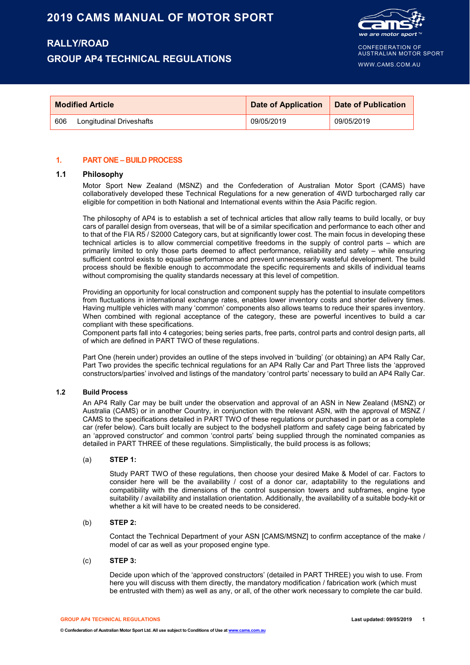# **RALLY/ROAD GROUP AP4 TECHNICAL REGULATIONS**



CONFEDERATION OF AUSTRALIAN MOTOR SPORT

WWW.CAMS.COM.AU

|     | <b>Modified Article</b>  | Date of Application   Date of Publication |            |
|-----|--------------------------|-------------------------------------------|------------|
| 606 | Longitudinal Driveshafts | 09/05/2019                                | 09/05/2019 |

## **1. PART ONE – BUILD PROCESS**

# **1.1 Philosophy**

Motor Sport New Zealand (MSNZ) and the Confederation of Australian Motor Sport (CAMS) have collaboratively developed these Technical Regulations for a new generation of 4WD turbocharged rally car eligible for competition in both National and International events within the Asia Pacific region.

The philosophy of AP4 is to establish a set of technical articles that allow rally teams to build locally, or buy cars of parallel design from overseas, that will be of a similar specification and performance to each other and to that of the FIA R5 / S2000 Category cars, but at significantly lower cost. The main focus in developing these technical articles is to allow commercial competitive freedoms in the supply of control parts – which are primarily limited to only those parts deemed to affect performance, reliability and safety – while ensuring sufficient control exists to equalise performance and prevent unnecessarily wasteful development. The build process should be flexible enough to accommodate the specific requirements and skills of individual teams without compromising the quality standards necessary at this level of competition.

Providing an opportunity for local construction and component supply has the potential to insulate competitors from fluctuations in international exchange rates, enables lower inventory costs and shorter delivery times. Having multiple vehicles with many 'common' components also allows teams to reduce their spares inventory. When combined with regional acceptance of the category, these are powerful incentives to build a car compliant with these specifications.

Component parts fall into 4 categories; being series parts, free parts, control parts and control design parts, all of which are defined in PART TWO of these regulations.

Part One (herein under) provides an outline of the steps involved in 'building' (or obtaining) an AP4 Rally Car, Part Two provides the specific technical regulations for an AP4 Rally Car and Part Three lists the 'approved constructors/parties' involved and listings of the mandatory 'control parts' necessary to build an AP4 Rally Car.

#### **1.2 Build Process**

An AP4 Rally Car may be built under the observation and approval of an ASN in New Zealand (MSNZ) or Australia (CAMS) or in another Country, in conjunction with the relevant ASN, with the approval of MSNZ / CAMS to the specifications detailed in PART TWO of these regulations or purchased in part or as a complete car (refer below). Cars built locally are subject to the bodyshell platform and safety cage being fabricated by an 'approved constructor' and common 'control parts' being supplied through the nominated companies as detailed in PART THREE of these regulations. Simplistically, the build process is as follows;

#### (a) **STEP 1:**

Study PART TWO of these regulations, then choose your desired Make & Model of car. Factors to consider here will be the availability / cost of a donor car, adaptability to the regulations and compatibility with the dimensions of the control suspension towers and subframes, engine type suitability / availability and installation orientation. Additionally, the availability of a suitable body-kit or whether a kit will have to be created needs to be considered.

## (b) **STEP 2:**

Contact the Technical Department of your ASN [CAMS/MSNZ] to confirm acceptance of the make / model of car as well as your proposed engine type.

#### (c) **STEP 3:**

Decide upon which of the 'approved constructors' (detailed in PART THREE) you wish to use. From here you will discuss with them directly, the mandatory modification / fabrication work (which must be entrusted with them) as well as any, or all, of the other work necessary to complete the car build.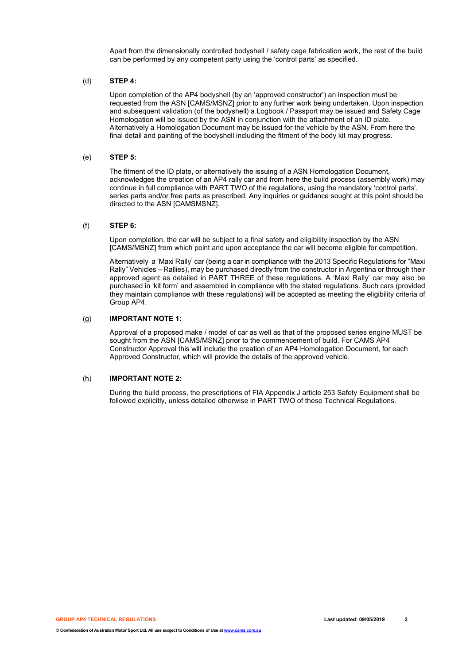Apart from the dimensionally controlled bodyshell / safety cage fabrication work, the rest of the build can be performed by any competent party using the 'control parts' as specified.

## (d) **STEP 4:**

Upon completion of the AP4 bodyshell (by an 'approved constructor') an inspection must be requested from the ASN [CAMS/MSNZ] prior to any further work being undertaken. Upon inspection and subsequent validation (of the bodyshell) a Logbook / Passport may be issued and Safety Cage Homologation will be issued by the ASN in conjunction with the attachment of an ID plate. Alternatively a Homologation Document may be issued for the vehicle by the ASN. From here the final detail and painting of the bodyshell including the fitment of the body kit may progress.

#### (e) **STEP 5:**

The fitment of the ID plate, or alternatively the issuing of a ASN Homologation Document, acknowledges the creation of an AP4 rally car and from here the build process (assembly work) may continue in full compliance with PART TWO of the regulations, using the mandatory 'control parts', series parts and/or free parts as prescribed. Any inquiries or guidance sought at this point should be directed to the ASN [CAMSMSNZ].

#### (f) **STEP 6:**

Upon completion, the car will be subject to a final safety and eligibility inspection by the ASN [CAMS/MSNZ] from which point and upon acceptance the car will become eligible for competition.

Alternatively a 'Maxi Rally' car (being a car in compliance with the 2013 Specific Regulations for "Maxi Rally" Vehicles – Rallies), may be purchased directly from the constructor in Argentina or through their approved agent as detailed in PART THREE of these regulations. A 'Maxi Rally' car may also be purchased in 'kit form' and assembled in compliance with the stated regulations. Such cars (provided they maintain compliance with these regulations) will be accepted as meeting the eligibility criteria of Group AP4.

## (g) **IMPORTANT NOTE 1:**

Approval of a proposed make / model of car as well as that of the proposed series engine MUST be sought from the ASN [CAMS/MSNZ] prior to the commencement of build. For CAMS AP4 Constructor Approval this will include the creation of an AP4 Homologation Document, for each Approved Constructor, which will provide the details of the approved vehicle.

## (h) **IMPORTANT NOTE 2:**

During the build process, the prescriptions of FIA Appendix J article 253 Safety Equipment shall be followed explicitly, unless detailed otherwise in PART TWO of these Technical Regulations.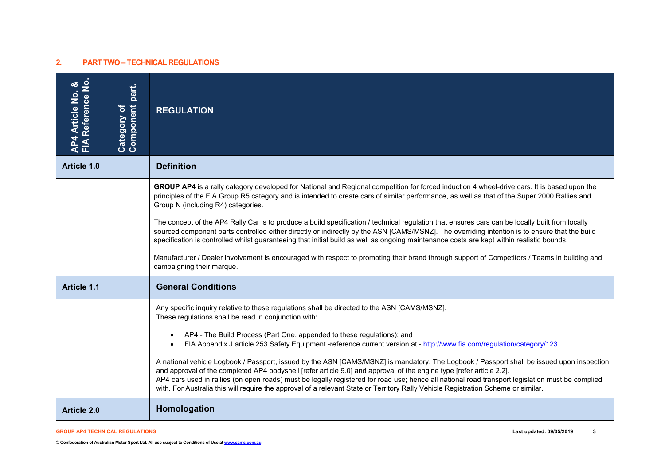# **2. PART TWO – TECHNICAL REGULATIONS**

| AP4 Article No. &<br>FIA Reference No. | <b>Component part.</b><br>Category of | <b>REGULATION</b>                                                                                                                                                                                                                                                                                                                                                                                                                                                                                                                                                                                                                                                                                                                                                                                                                                                                                                                                               |
|----------------------------------------|---------------------------------------|-----------------------------------------------------------------------------------------------------------------------------------------------------------------------------------------------------------------------------------------------------------------------------------------------------------------------------------------------------------------------------------------------------------------------------------------------------------------------------------------------------------------------------------------------------------------------------------------------------------------------------------------------------------------------------------------------------------------------------------------------------------------------------------------------------------------------------------------------------------------------------------------------------------------------------------------------------------------|
| Article 1.0                            |                                       | <b>Definition</b>                                                                                                                                                                                                                                                                                                                                                                                                                                                                                                                                                                                                                                                                                                                                                                                                                                                                                                                                               |
|                                        |                                       | GROUP AP4 is a rally category developed for National and Regional competition for forced induction 4 wheel-drive cars. It is based upon the<br>principles of the FIA Group R5 category and is intended to create cars of similar performance, as well as that of the Super 2000 Rallies and<br>Group N (including R4) categories.<br>The concept of the AP4 Rally Car is to produce a build specification / technical regulation that ensures cars can be locally built from locally<br>sourced component parts controlled either directly or indirectly by the ASN [CAMS/MSNZ]. The overriding intention is to ensure that the build<br>specification is controlled whilst guaranteeing that initial build as well as ongoing maintenance costs are kept within realistic bounds.<br>Manufacturer / Dealer involvement is encouraged with respect to promoting their brand through support of Competitors / Teams in building and<br>campaigning their marque. |
| <b>Article 1.1</b>                     |                                       | <b>General Conditions</b>                                                                                                                                                                                                                                                                                                                                                                                                                                                                                                                                                                                                                                                                                                                                                                                                                                                                                                                                       |
|                                        |                                       | Any specific inquiry relative to these regulations shall be directed to the ASN [CAMS/MSNZ].<br>These regulations shall be read in conjunction with:<br>AP4 - The Build Process (Part One, appended to these regulations); and<br>$\bullet$<br>FIA Appendix J article 253 Safety Equipment -reference current version at - http://www.fia.com/regulation/category/123<br>$\bullet$<br>A national vehicle Logbook / Passport, issued by the ASN [CAMS/MSNZ] is mandatory. The Logbook / Passport shall be issued upon inspection<br>and approval of the completed AP4 bodyshell [refer article 9.0] and approval of the engine type [refer article 2.2].<br>AP4 cars used in rallies (on open roads) must be legally registered for road use; hence all national road transport legislation must be complied<br>with. For Australia this will require the approval of a relevant State or Territory Rally Vehicle Registration Scheme or similar.                |
| <b>Article 2.0</b>                     |                                       | Homologation                                                                                                                                                                                                                                                                                                                                                                                                                                                                                                                                                                                                                                                                                                                                                                                                                                                                                                                                                    |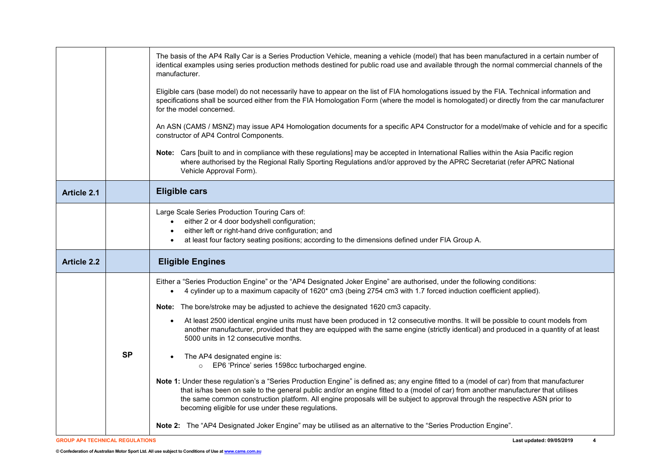|                    |           | The basis of the AP4 Rally Car is a Series Production Vehicle, meaning a vehicle (model) that has been manufactured in a certain number of<br>identical examples using series production methods destined for public road use and available through the normal commercial channels of the<br>manufacturer.<br>Eligible cars (base model) do not necessarily have to appear on the list of FIA homologations issued by the FIA. Technical information and<br>specifications shall be sourced either from the FIA Homologation Form (where the model is homologated) or directly from the car manufacturer<br>for the model concerned.<br>An ASN (CAMS / MSNZ) may issue AP4 Homologation documents for a specific AP4 Constructor for a model/make of vehicle and for a specific<br>constructor of AP4 Control Components.<br>Note: Cars [built to and in compliance with these regulations] may be accepted in International Rallies within the Asia Pacific region<br>where authorised by the Regional Rally Sporting Regulations and/or approved by the APRC Secretariat (refer APRC National<br>Vehicle Approval Form).                                                                                                                                                                                                                                               |
|--------------------|-----------|--------------------------------------------------------------------------------------------------------------------------------------------------------------------------------------------------------------------------------------------------------------------------------------------------------------------------------------------------------------------------------------------------------------------------------------------------------------------------------------------------------------------------------------------------------------------------------------------------------------------------------------------------------------------------------------------------------------------------------------------------------------------------------------------------------------------------------------------------------------------------------------------------------------------------------------------------------------------------------------------------------------------------------------------------------------------------------------------------------------------------------------------------------------------------------------------------------------------------------------------------------------------------------------------------------------------------------------------------------------------------|
| <b>Article 2.1</b> |           | <b>Eligible cars</b>                                                                                                                                                                                                                                                                                                                                                                                                                                                                                                                                                                                                                                                                                                                                                                                                                                                                                                                                                                                                                                                                                                                                                                                                                                                                                                                                                     |
|                    |           | Large Scale Series Production Touring Cars of:<br>• either 2 or 4 door bodyshell configuration;<br>either left or right-hand drive configuration; and<br>at least four factory seating positions; according to the dimensions defined under FIA Group A.<br>$\bullet$                                                                                                                                                                                                                                                                                                                                                                                                                                                                                                                                                                                                                                                                                                                                                                                                                                                                                                                                                                                                                                                                                                    |
| <b>Article 2.2</b> |           | <b>Eligible Engines</b>                                                                                                                                                                                                                                                                                                                                                                                                                                                                                                                                                                                                                                                                                                                                                                                                                                                                                                                                                                                                                                                                                                                                                                                                                                                                                                                                                  |
|                    | <b>SP</b> | Either a "Series Production Engine" or the "AP4 Designated Joker Engine" are authorised, under the following conditions:<br>4 cylinder up to a maximum capacity of 1620* cm3 (being 2754 cm3 with 1.7 forced induction coefficient applied).<br>$\bullet$<br><b>Note:</b> The bore/stroke may be adjusted to achieve the designated 1620 cm3 capacity.<br>At least 2500 identical engine units must have been produced in 12 consecutive months. It will be possible to count models from<br>$\bullet$<br>another manufacturer, provided that they are equipped with the same engine (strictly identical) and produced in a quantity of at least<br>5000 units in 12 consecutive months.<br>The AP4 designated engine is:<br>o EP6 'Prince' series 1598cc turbocharged engine.<br>Note 1: Under these regulation's a "Series Production Engine" is defined as; any engine fitted to a (model of car) from that manufacturer<br>that is/has been on sale to the general public and/or an engine fitted to a (model of car) from another manufacturer that utilises<br>the same common construction platform. All engine proposals will be subject to approval through the respective ASN prior to<br>becoming eligible for use under these regulations.<br>Note 2: The "AP4 Designated Joker Engine" may be utilised as an alternative to the "Series Production Engine". |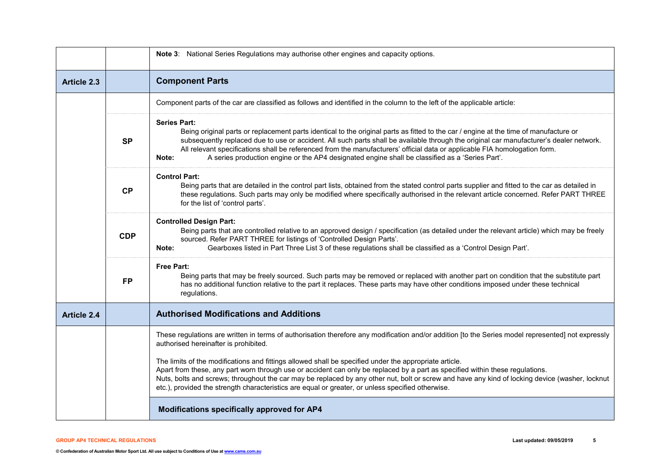|                    |            | Note 3: National Series Regulations may authorise other engines and capacity options.                                                                                                                                                                                                                                                                                                                                                                                                                                                             |
|--------------------|------------|---------------------------------------------------------------------------------------------------------------------------------------------------------------------------------------------------------------------------------------------------------------------------------------------------------------------------------------------------------------------------------------------------------------------------------------------------------------------------------------------------------------------------------------------------|
| <b>Article 2.3</b> |            | <b>Component Parts</b>                                                                                                                                                                                                                                                                                                                                                                                                                                                                                                                            |
|                    |            | Component parts of the car are classified as follows and identified in the column to the left of the applicable article:                                                                                                                                                                                                                                                                                                                                                                                                                          |
|                    | <b>SP</b>  | <b>Series Part:</b><br>Being original parts or replacement parts identical to the original parts as fitted to the car / engine at the time of manufacture or<br>subsequently replaced due to use or accident. All such parts shall be available through the original car manufacturer's dealer network.<br>All relevant specifications shall be referenced from the manufacturers' official data or applicable FIA homologation form.<br>A series production engine or the AP4 designated engine shall be classified as a 'Series Part'.<br>Note: |
|                    | <b>CP</b>  | <b>Control Part:</b><br>Being parts that are detailed in the control part lists, obtained from the stated control parts supplier and fitted to the car as detailed in<br>these regulations. Such parts may only be modified where specifically authorised in the relevant article concerned. Refer PART THREE<br>for the list of 'control parts'.                                                                                                                                                                                                 |
|                    | <b>CDP</b> | <b>Controlled Design Part:</b><br>Being parts that are controlled relative to an approved design / specification (as detailed under the relevant article) which may be freely<br>sourced. Refer PART THREE for listings of 'Controlled Design Parts'.<br>Gearboxes listed in Part Three List 3 of these regulations shall be classified as a 'Control Design Part'.<br>Note:                                                                                                                                                                      |
|                    | <b>FP</b>  | <b>Free Part:</b><br>Being parts that may be freely sourced. Such parts may be removed or replaced with another part on condition that the substitute part<br>has no additional function relative to the part it replaces. These parts may have other conditions imposed under these technical<br>regulations.                                                                                                                                                                                                                                    |
| <b>Article 2.4</b> |            | <b>Authorised Modifications and Additions</b>                                                                                                                                                                                                                                                                                                                                                                                                                                                                                                     |
|                    |            | These regulations are written in terms of authorisation therefore any modification and/or addition [to the Series model represented] not expressly<br>authorised hereinafter is prohibited.                                                                                                                                                                                                                                                                                                                                                       |
|                    |            | The limits of the modifications and fittings allowed shall be specified under the appropriate article.<br>Apart from these, any part worn through use or accident can only be replaced by a part as specified within these regulations.<br>Nuts, bolts and screws; throughout the car may be replaced by any other nut, bolt or screw and have any kind of locking device (washer, locknut<br>etc.), provided the strength characteristics are equal or greater, or unless specified otherwise.                                                   |
|                    |            | Modifications specifically approved for AP4                                                                                                                                                                                                                                                                                                                                                                                                                                                                                                       |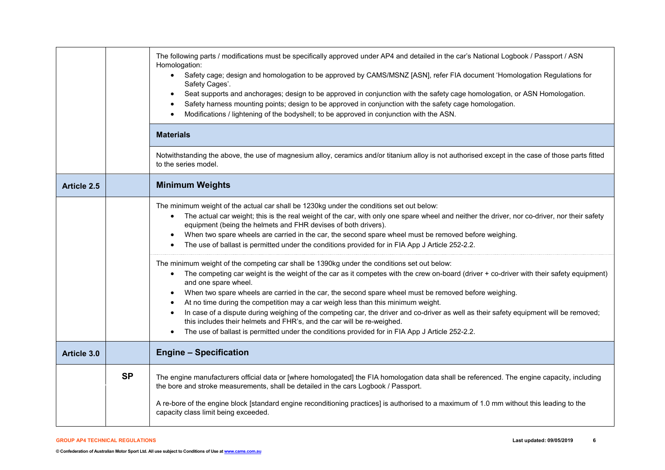|                    |           | The following parts / modifications must be specifically approved under AP4 and detailed in the car's National Logbook / Passport / ASN<br>Homologation:<br>Safety cage; design and homologation to be approved by CAMS/MSNZ [ASN], refer FIA document 'Homologation Regulations for<br>$\bullet$<br>Safety Cages'.<br>Seat supports and anchorages; design to be approved in conjunction with the safety cage homologation, or ASN Homologation.<br>$\bullet$<br>Safety harness mounting points; design to be approved in conjunction with the safety cage homologation.<br>$\bullet$<br>Modifications / lightening of the bodyshell; to be approved in conjunction with the ASN.<br>$\bullet$<br><b>Materials</b><br>Notwithstanding the above, the use of magnesium alloy, ceramics and/or titanium alloy is not authorised except in the case of those parts fitted<br>to the series model.                                                                                                                                                                                                                                                                                                                                                                                                                                                                                                          |
|--------------------|-----------|----------------------------------------------------------------------------------------------------------------------------------------------------------------------------------------------------------------------------------------------------------------------------------------------------------------------------------------------------------------------------------------------------------------------------------------------------------------------------------------------------------------------------------------------------------------------------------------------------------------------------------------------------------------------------------------------------------------------------------------------------------------------------------------------------------------------------------------------------------------------------------------------------------------------------------------------------------------------------------------------------------------------------------------------------------------------------------------------------------------------------------------------------------------------------------------------------------------------------------------------------------------------------------------------------------------------------------------------------------------------------------------------------------|
| <b>Article 2.5</b> |           | <b>Minimum Weights</b>                                                                                                                                                                                                                                                                                                                                                                                                                                                                                                                                                                                                                                                                                                                                                                                                                                                                                                                                                                                                                                                                                                                                                                                                                                                                                                                                                                                   |
|                    |           | The minimum weight of the actual car shall be 1230kg under the conditions set out below:<br>The actual car weight; this is the real weight of the car, with only one spare wheel and neither the driver, nor co-driver, nor their safety<br>$\bullet$<br>equipment (being the helmets and FHR devises of both drivers).<br>When two spare wheels are carried in the car, the second spare wheel must be removed before weighing.<br>$\bullet$<br>The use of ballast is permitted under the conditions provided for in FIA App J Article 252-2.2.<br>The minimum weight of the competing car shall be 1390kg under the conditions set out below:<br>The competing car weight is the weight of the car as it competes with the crew on-board (driver + co-driver with their safety equipment)<br>$\bullet$<br>and one spare wheel.<br>When two spare wheels are carried in the car, the second spare wheel must be removed before weighing.<br>$\bullet$<br>At no time during the competition may a car weigh less than this minimum weight.<br>$\bullet$<br>In case of a dispute during weighing of the competing car, the driver and co-driver as well as their safety equipment will be removed;<br>$\bullet$<br>this includes their helmets and FHR's, and the car will be re-weighed.<br>The use of ballast is permitted under the conditions provided for in FIA App J Article 252-2.2.<br>$\bullet$ |
| Article 3.0        |           | <b>Engine - Specification</b>                                                                                                                                                                                                                                                                                                                                                                                                                                                                                                                                                                                                                                                                                                                                                                                                                                                                                                                                                                                                                                                                                                                                                                                                                                                                                                                                                                            |
|                    | <b>SP</b> | The engine manufacturers official data or [where homologated] the FIA homologation data shall be referenced. The engine capacity, including<br>the bore and stroke measurements, shall be detailed in the cars Logbook / Passport.<br>A re-bore of the engine block [standard engine reconditioning practices] is authorised to a maximum of 1.0 mm without this leading to the<br>capacity class limit being exceeded.                                                                                                                                                                                                                                                                                                                                                                                                                                                                                                                                                                                                                                                                                                                                                                                                                                                                                                                                                                                  |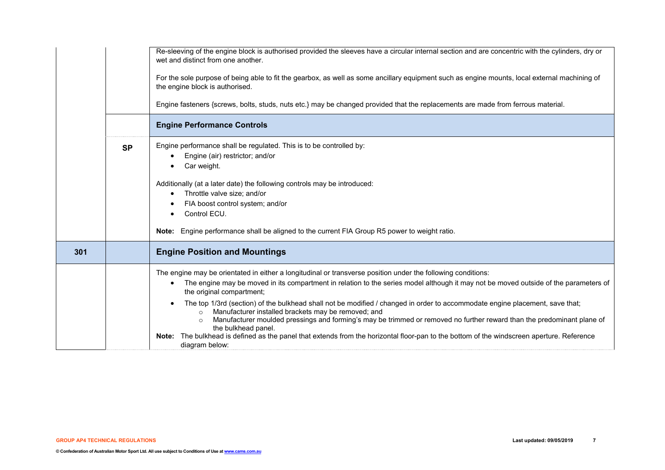|     | <b>SP</b> | Re-sleeving of the engine block is authorised provided the sleeves have a circular internal section and are concentric with the cylinders, dry or<br>wet and distinct from one another.<br>For the sole purpose of being able to fit the gearbox, as well as some ancillary equipment such as engine mounts, local external machining of<br>the engine block is authorised.<br>Engine fasteners {screws, bolts, studs, nuts etc.} may be changed provided that the replacements are made from ferrous material.<br><b>Engine Performance Controls</b><br>Engine performance shall be regulated. This is to be controlled by:<br>Engine (air) restrictor; and/or<br>Car weight.<br>Additionally (at a later date) the following controls may be introduced:<br>Throttle valve size; and/or<br>$\bullet$<br>FIA boost control system; and/or<br>Control ECU.<br>Note: Engine performance shall be aligned to the current FIA Group R5 power to weight ratio. |
|-----|-----------|------------------------------------------------------------------------------------------------------------------------------------------------------------------------------------------------------------------------------------------------------------------------------------------------------------------------------------------------------------------------------------------------------------------------------------------------------------------------------------------------------------------------------------------------------------------------------------------------------------------------------------------------------------------------------------------------------------------------------------------------------------------------------------------------------------------------------------------------------------------------------------------------------------------------------------------------------------|
| 301 |           | <b>Engine Position and Mountings</b>                                                                                                                                                                                                                                                                                                                                                                                                                                                                                                                                                                                                                                                                                                                                                                                                                                                                                                                       |
|     |           | The engine may be orientated in either a longitudinal or transverse position under the following conditions:<br>The engine may be moved in its compartment in relation to the series model although it may not be moved outside of the parameters of<br>the original compartment;<br>The top 1/3rd (section) of the bulkhead shall not be modified / changed in order to accommodate engine placement, save that;<br>Manufacturer installed brackets may be removed; and<br>$\circ$<br>Manufacturer moulded pressings and forming's may be trimmed or removed no further reward than the predominant plane of<br>$\circ$<br>the bulkhead panel.<br>Note: The bulkhead is defined as the panel that extends from the horizontal floor-pan to the bottom of the windscreen aperture. Reference<br>diagram below:                                                                                                                                             |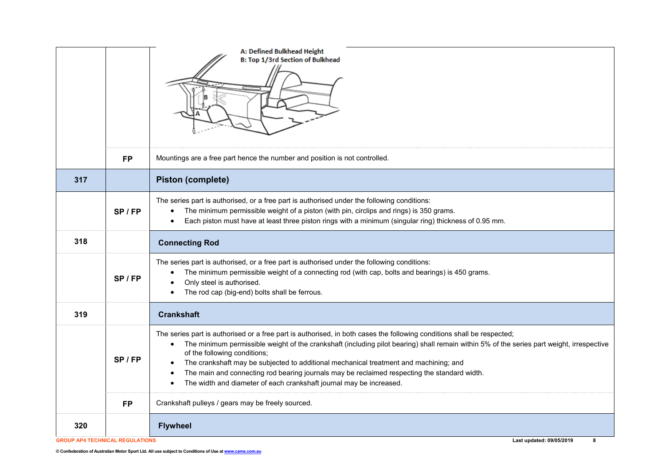|                                        |           | A: Defined Bulkhead Height<br><b>B: Top 1/3rd Section of Bulkhead</b>                                                                                                                                                                                                                                                                                                                                                                                                                                                                                                            |
|----------------------------------------|-----------|----------------------------------------------------------------------------------------------------------------------------------------------------------------------------------------------------------------------------------------------------------------------------------------------------------------------------------------------------------------------------------------------------------------------------------------------------------------------------------------------------------------------------------------------------------------------------------|
|                                        | <b>FP</b> | Mountings are a free part hence the number and position is not controlled.                                                                                                                                                                                                                                                                                                                                                                                                                                                                                                       |
| 317                                    |           | <b>Piston (complete)</b>                                                                                                                                                                                                                                                                                                                                                                                                                                                                                                                                                         |
|                                        | SP/FP     | The series part is authorised, or a free part is authorised under the following conditions:<br>The minimum permissible weight of a piston (with pin, circlips and rings) is 350 grams.<br>Each piston must have at least three piston rings with a minimum (singular ring) thickness of 0.95 mm.<br>$\bullet$                                                                                                                                                                                                                                                                    |
| 318                                    |           | <b>Connecting Rod</b>                                                                                                                                                                                                                                                                                                                                                                                                                                                                                                                                                            |
|                                        | SP/FP     | The series part is authorised, or a free part is authorised under the following conditions:<br>The minimum permissible weight of a connecting rod (with cap, bolts and bearings) is 450 grams.<br>$\bullet$<br>Only steel is authorised.<br>The rod cap (big-end) bolts shall be ferrous.                                                                                                                                                                                                                                                                                        |
| 319                                    |           | <b>Crankshaft</b>                                                                                                                                                                                                                                                                                                                                                                                                                                                                                                                                                                |
|                                        | $SP$ / FP | The series part is authorised or a free part is authorised, in both cases the following conditions shall be respected;<br>The minimum permissible weight of the crankshaft (including pilot bearing) shall remain within 5% of the series part weight, irrespective<br>of the following conditions;<br>The crankshaft may be subjected to additional mechanical treatment and machining; and<br>The main and connecting rod bearing journals may be reclaimed respecting the standard width.<br>The width and diameter of each crankshaft journal may be increased.<br>$\bullet$ |
|                                        | <b>FP</b> | Crankshaft pulleys / gears may be freely sourced.                                                                                                                                                                                                                                                                                                                                                                                                                                                                                                                                |
| 320                                    |           | <b>Flywheel</b>                                                                                                                                                                                                                                                                                                                                                                                                                                                                                                                                                                  |
| <b>GROUP AP4 TECHNICAL REGULATIONS</b> |           | Last updated: 09/05/2019<br>8                                                                                                                                                                                                                                                                                                                                                                                                                                                                                                                                                    |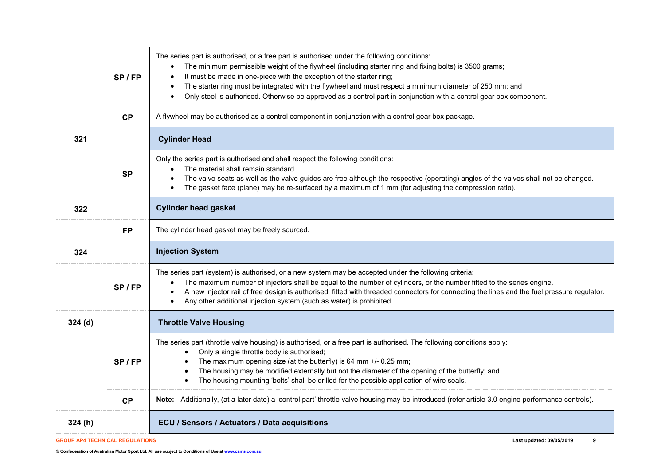|        | $SP$ / FP | The series part is authorised, or a free part is authorised under the following conditions:<br>The minimum permissible weight of the flywheel (including starter ring and fixing bolts) is 3500 grams;<br>$\bullet$<br>It must be made in one-piece with the exception of the starter ring;<br>$\bullet$<br>The starter ring must be integrated with the flywheel and must respect a minimum diameter of 250 mm; and<br>$\bullet$<br>Only steel is authorised. Otherwise be approved as a control part in conjunction with a control gear box component.<br>$\bullet$ |
|--------|-----------|-----------------------------------------------------------------------------------------------------------------------------------------------------------------------------------------------------------------------------------------------------------------------------------------------------------------------------------------------------------------------------------------------------------------------------------------------------------------------------------------------------------------------------------------------------------------------|
|        | CP        | A flywheel may be authorised as a control component in conjunction with a control gear box package.                                                                                                                                                                                                                                                                                                                                                                                                                                                                   |
| 321    |           | <b>Cylinder Head</b>                                                                                                                                                                                                                                                                                                                                                                                                                                                                                                                                                  |
|        | <b>SP</b> | Only the series part is authorised and shall respect the following conditions:<br>The material shall remain standard.<br>The valve seats as well as the valve guides are free although the respective (operating) angles of the valves shall not be changed.<br>$\bullet$<br>The gasket face (plane) may be re-surfaced by a maximum of 1 mm (for adjusting the compression ratio).<br>$\bullet$                                                                                                                                                                      |
| 322    |           | <b>Cylinder head gasket</b>                                                                                                                                                                                                                                                                                                                                                                                                                                                                                                                                           |
|        | <b>FP</b> | The cylinder head gasket may be freely sourced.                                                                                                                                                                                                                                                                                                                                                                                                                                                                                                                       |
| 324    |           | <b>Injection System</b>                                                                                                                                                                                                                                                                                                                                                                                                                                                                                                                                               |
|        | $SP$ / FP | The series part (system) is authorised, or a new system may be accepted under the following criteria:<br>The maximum number of injectors shall be equal to the number of cylinders, or the number fitted to the series engine.<br>A new injector rail of free design is authorised, fitted with threaded connectors for connecting the lines and the fuel pressure regulator.<br>$\bullet$<br>Any other additional injection system (such as water) is prohibited.<br>$\bullet$                                                                                       |
| 324(d) |           | <b>Throttle Valve Housing</b>                                                                                                                                                                                                                                                                                                                                                                                                                                                                                                                                         |
|        |           | The series part (throttle valve housing) is authorised, or a free part is authorised. The following conditions apply:<br>Only a single throttle body is authorised;                                                                                                                                                                                                                                                                                                                                                                                                   |
|        | $SP$ / FP | The maximum opening size (at the butterfly) is 64 mm +/- 0.25 mm;<br>The housing may be modified externally but not the diameter of the opening of the butterfly; and<br>The housing mounting 'bolts' shall be drilled for the possible application of wire seals.<br>$\bullet$                                                                                                                                                                                                                                                                                       |
|        | CP        | Note: Additionally, (at a later date) a 'control part' throttle valve housing may be introduced (refer article 3.0 engine performance controls).                                                                                                                                                                                                                                                                                                                                                                                                                      |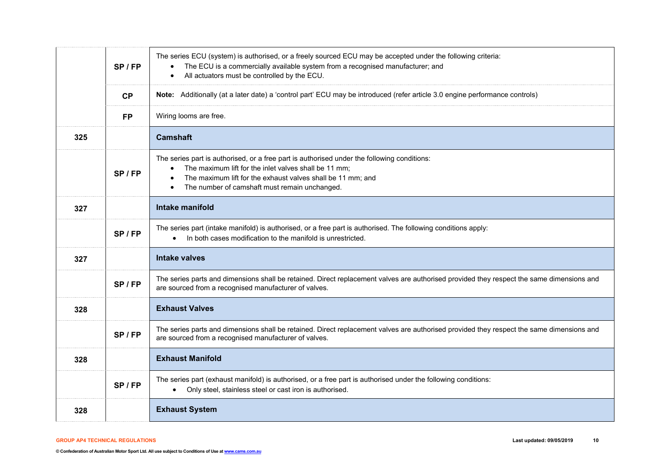|     | SP / FP   | The series ECU (system) is authorised, or a freely sourced ECU may be accepted under the following criteria:<br>The ECU is a commercially available system from a recognised manufacturer; and<br>$\bullet$<br>All actuators must be controlled by the ECU.<br>$\bullet$                                    |
|-----|-----------|-------------------------------------------------------------------------------------------------------------------------------------------------------------------------------------------------------------------------------------------------------------------------------------------------------------|
|     | CP        | Note: Additionally (at a later date) a 'control part' ECU may be introduced (refer article 3.0 engine performance controls)                                                                                                                                                                                 |
|     | <b>FP</b> | Wiring looms are free.                                                                                                                                                                                                                                                                                      |
| 325 |           | <b>Camshaft</b>                                                                                                                                                                                                                                                                                             |
|     | SP / FP   | The series part is authorised, or a free part is authorised under the following conditions:<br>The maximum lift for the inlet valves shall be 11 mm;<br>$\bullet$<br>The maximum lift for the exhaust valves shall be 11 mm; and<br>$\bullet$<br>The number of camshaft must remain unchanged.<br>$\bullet$ |
| 327 |           | <b>Intake manifold</b>                                                                                                                                                                                                                                                                                      |
|     | SP / FP   | The series part (intake manifold) is authorised, or a free part is authorised. The following conditions apply:<br>In both cases modification to the manifold is unrestricted.                                                                                                                               |
| 327 |           | <b>Intake valves</b>                                                                                                                                                                                                                                                                                        |
|     | SP/FP     | The series parts and dimensions shall be retained. Direct replacement valves are authorised provided they respect the same dimensions and<br>are sourced from a recognised manufacturer of valves.                                                                                                          |
| 328 |           | <b>Exhaust Valves</b>                                                                                                                                                                                                                                                                                       |
|     | SP/FP     | The series parts and dimensions shall be retained. Direct replacement valves are authorised provided they respect the same dimensions and<br>are sourced from a recognised manufacturer of valves.                                                                                                          |
| 328 |           | <b>Exhaust Manifold</b>                                                                                                                                                                                                                                                                                     |
|     | SP / FP   | The series part (exhaust manifold) is authorised, or a free part is authorised under the following conditions:<br>Only steel, stainless steel or cast iron is authorised.<br>$\bullet$                                                                                                                      |
| 328 |           | <b>Exhaust System</b>                                                                                                                                                                                                                                                                                       |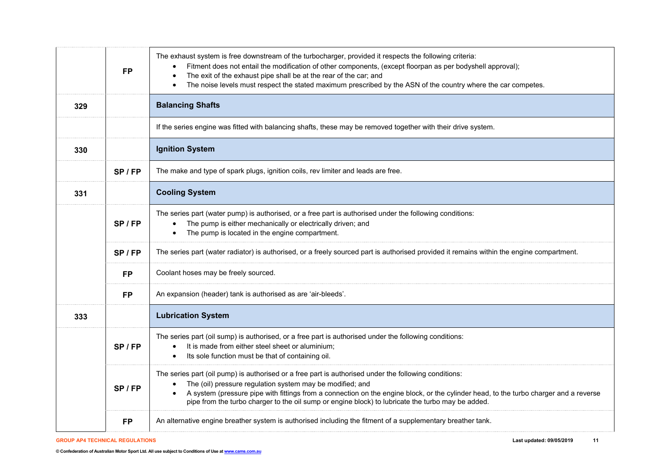|     | <b>FP</b> | The exhaust system is free downstream of the turbocharger, provided it respects the following criteria:<br>Fitment does not entail the modification of other components, (except floorpan as per bodyshell approval);<br>The exit of the exhaust pipe shall be at the rear of the car; and<br>$\bullet$<br>The noise levels must respect the stated maximum prescribed by the ASN of the country where the car competes.                   |
|-----|-----------|--------------------------------------------------------------------------------------------------------------------------------------------------------------------------------------------------------------------------------------------------------------------------------------------------------------------------------------------------------------------------------------------------------------------------------------------|
| 329 |           | <b>Balancing Shafts</b>                                                                                                                                                                                                                                                                                                                                                                                                                    |
|     |           | If the series engine was fitted with balancing shafts, these may be removed together with their drive system.                                                                                                                                                                                                                                                                                                                              |
| 330 |           | <b>Ignition System</b>                                                                                                                                                                                                                                                                                                                                                                                                                     |
|     | SP/FP     | The make and type of spark plugs, ignition coils, rev limiter and leads are free.                                                                                                                                                                                                                                                                                                                                                          |
| 331 |           | <b>Cooling System</b>                                                                                                                                                                                                                                                                                                                                                                                                                      |
|     | $SP$ / FP | The series part (water pump) is authorised, or a free part is authorised under the following conditions:<br>The pump is either mechanically or electrically driven; and<br>The pump is located in the engine compartment.                                                                                                                                                                                                                  |
|     | SP/FP     | The series part (water radiator) is authorised, or a freely sourced part is authorised provided it remains within the engine compartment.                                                                                                                                                                                                                                                                                                  |
|     | <b>FP</b> | Coolant hoses may be freely sourced.                                                                                                                                                                                                                                                                                                                                                                                                       |
|     | <b>FP</b> | An expansion (header) tank is authorised as are 'air-bleeds'.                                                                                                                                                                                                                                                                                                                                                                              |
| 333 |           | <b>Lubrication System</b>                                                                                                                                                                                                                                                                                                                                                                                                                  |
|     | $SP$ / FP | The series part (oil sump) is authorised, or a free part is authorised under the following conditions:<br>It is made from either steel sheet or aluminium;<br>Its sole function must be that of containing oil.                                                                                                                                                                                                                            |
|     | $SP$ / FP | The series part (oil pump) is authorised or a free part is authorised under the following conditions:<br>The (oil) pressure regulation system may be modified; and<br>$\bullet$<br>A system (pressure pipe with fittings from a connection on the engine block, or the cylinder head, to the turbo charger and a reverse<br>$\bullet$<br>pipe from the turbo charger to the oil sump or engine block) to lubricate the turbo may be added. |
|     | <b>FP</b> | An alternative engine breather system is authorised including the fitment of a supplementary breather tank.                                                                                                                                                                                                                                                                                                                                |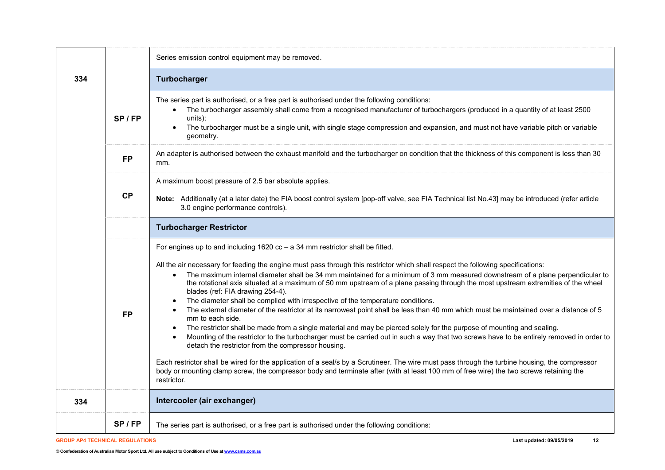|     |           | Series emission control equipment may be removed.                                                                                                                                                                                                                                                                                                                                                                                                                                                                                                                                                                                                                                                                                                                                                                                                                                                                                                                                                                                                                                                                                                                                                                                                                                                                                                                                                                                                           |
|-----|-----------|-------------------------------------------------------------------------------------------------------------------------------------------------------------------------------------------------------------------------------------------------------------------------------------------------------------------------------------------------------------------------------------------------------------------------------------------------------------------------------------------------------------------------------------------------------------------------------------------------------------------------------------------------------------------------------------------------------------------------------------------------------------------------------------------------------------------------------------------------------------------------------------------------------------------------------------------------------------------------------------------------------------------------------------------------------------------------------------------------------------------------------------------------------------------------------------------------------------------------------------------------------------------------------------------------------------------------------------------------------------------------------------------------------------------------------------------------------------|
| 334 |           | Turbocharger                                                                                                                                                                                                                                                                                                                                                                                                                                                                                                                                                                                                                                                                                                                                                                                                                                                                                                                                                                                                                                                                                                                                                                                                                                                                                                                                                                                                                                                |
|     | $SP$ / FP | The series part is authorised, or a free part is authorised under the following conditions:<br>The turbocharger assembly shall come from a recognised manufacturer of turbochargers (produced in a quantity of at least 2500<br>$\bullet$<br>units);<br>The turbocharger must be a single unit, with single stage compression and expansion, and must not have variable pitch or variable<br>geometry.                                                                                                                                                                                                                                                                                                                                                                                                                                                                                                                                                                                                                                                                                                                                                                                                                                                                                                                                                                                                                                                      |
|     | <b>FP</b> | An adapter is authorised between the exhaust manifold and the turbocharger on condition that the thickness of this component is less than 30<br>mm.                                                                                                                                                                                                                                                                                                                                                                                                                                                                                                                                                                                                                                                                                                                                                                                                                                                                                                                                                                                                                                                                                                                                                                                                                                                                                                         |
|     | <b>CP</b> | A maximum boost pressure of 2.5 bar absolute applies.<br>Note: Additionally (at a later date) the FIA boost control system [pop-off valve, see FIA Technical list No.43] may be introduced (refer article<br>3.0 engine performance controls).                                                                                                                                                                                                                                                                                                                                                                                                                                                                                                                                                                                                                                                                                                                                                                                                                                                                                                                                                                                                                                                                                                                                                                                                              |
|     |           | <b>Turbocharger Restrictor</b>                                                                                                                                                                                                                                                                                                                                                                                                                                                                                                                                                                                                                                                                                                                                                                                                                                                                                                                                                                                                                                                                                                                                                                                                                                                                                                                                                                                                                              |
|     |           |                                                                                                                                                                                                                                                                                                                                                                                                                                                                                                                                                                                                                                                                                                                                                                                                                                                                                                                                                                                                                                                                                                                                                                                                                                                                                                                                                                                                                                                             |
|     | <b>FP</b> | For engines up to and including $1620$ cc - a 34 mm restrictor shall be fitted.<br>All the air necessary for feeding the engine must pass through this restrictor which shall respect the following specifications:<br>The maximum internal diameter shall be 34 mm maintained for a minimum of 3 mm measured downstream of a plane perpendicular to<br>$\bullet$<br>the rotational axis situated at a maximum of 50 mm upstream of a plane passing through the most upstream extremities of the wheel<br>blades (ref: FIA drawing 254-4).<br>The diameter shall be complied with irrespective of the temperature conditions.<br>$\bullet$<br>The external diameter of the restrictor at its narrowest point shall be less than 40 mm which must be maintained over a distance of 5<br>mm to each side.<br>The restrictor shall be made from a single material and may be pierced solely for the purpose of mounting and sealing.<br>$\bullet$<br>Mounting of the restrictor to the turbocharger must be carried out in such a way that two screws have to be entirely removed in order to<br>detach the restrictor from the compressor housing.<br>Each restrictor shall be wired for the application of a seal/s by a Scrutineer. The wire must pass through the turbine housing, the compressor<br>body or mounting clamp screw, the compressor body and terminate after (with at least 100 mm of free wire) the two screws retaining the<br>restrictor. |
| 334 |           | Intercooler (air exchanger)                                                                                                                                                                                                                                                                                                                                                                                                                                                                                                                                                                                                                                                                                                                                                                                                                                                                                                                                                                                                                                                                                                                                                                                                                                                                                                                                                                                                                                 |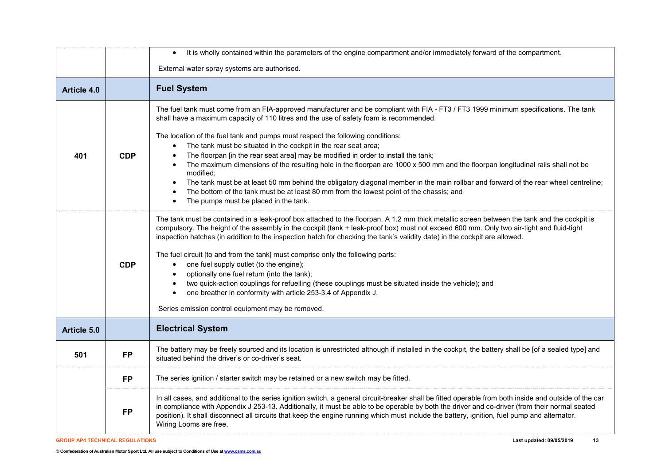|                    |            | It is wholly contained within the parameters of the engine compartment and/or immediately forward of the compartment.<br>$\bullet$                                                                                                                                                                                                                                                                                                                                                                                                                                                                                                                                                                                                                                                                                                                                                                                                           |
|--------------------|------------|----------------------------------------------------------------------------------------------------------------------------------------------------------------------------------------------------------------------------------------------------------------------------------------------------------------------------------------------------------------------------------------------------------------------------------------------------------------------------------------------------------------------------------------------------------------------------------------------------------------------------------------------------------------------------------------------------------------------------------------------------------------------------------------------------------------------------------------------------------------------------------------------------------------------------------------------|
|                    |            | External water spray systems are authorised.                                                                                                                                                                                                                                                                                                                                                                                                                                                                                                                                                                                                                                                                                                                                                                                                                                                                                                 |
| <b>Article 4.0</b> |            | <b>Fuel System</b>                                                                                                                                                                                                                                                                                                                                                                                                                                                                                                                                                                                                                                                                                                                                                                                                                                                                                                                           |
| 401                | <b>CDP</b> | The fuel tank must come from an FIA-approved manufacturer and be compliant with FIA - FT3 / FT3 1999 minimum specifications. The tank<br>shall have a maximum capacity of 110 litres and the use of safety foam is recommended.<br>The location of the fuel tank and pumps must respect the following conditions:<br>The tank must be situated in the cockpit in the rear seat area;<br>$\bullet$<br>The floorpan [in the rear seat area] may be modified in order to install the tank;<br>The maximum dimensions of the resulting hole in the floorpan are 1000 x 500 mm and the floorpan longitudinal rails shall not be<br>modified;<br>The tank must be at least 50 mm behind the obligatory diagonal member in the main rollbar and forward of the rear wheel centreline;<br>$\bullet$<br>The bottom of the tank must be at least 80 mm from the lowest point of the chassis; and<br>The pumps must be placed in the tank.<br>$\bullet$ |
|                    | <b>CDP</b> | The tank must be contained in a leak-proof box attached to the floorpan. A 1.2 mm thick metallic screen between the tank and the cockpit is<br>compulsory. The height of the assembly in the cockpit (tank + leak-proof box) must not exceed 600 mm. Only two air-tight and fluid-tight<br>inspection hatches (in addition to the inspection hatch for checking the tank's validity date) in the cockpit are allowed.<br>The fuel circuit [to and from the tank] must comprise only the following parts:<br>one fuel supply outlet (to the engine);<br>$\bullet$<br>optionally one fuel return (into the tank);<br>two quick-action couplings for refuelling (these couplings must be situated inside the vehicle); and<br>$\bullet$<br>one breather in conformity with article 253-3.4 of Appendix J.<br>Series emission control equipment may be removed.                                                                                  |
| Article 5.0        |            | <b>Electrical System</b>                                                                                                                                                                                                                                                                                                                                                                                                                                                                                                                                                                                                                                                                                                                                                                                                                                                                                                                     |
| 501                | <b>FP</b>  | The battery may be freely sourced and its location is unrestricted although if installed in the cockpit, the battery shall be [of a sealed type] and<br>situated behind the driver's or co-driver's seat.                                                                                                                                                                                                                                                                                                                                                                                                                                                                                                                                                                                                                                                                                                                                    |
|                    | <b>FP</b>  | The series ignition / starter switch may be retained or a new switch may be fitted.                                                                                                                                                                                                                                                                                                                                                                                                                                                                                                                                                                                                                                                                                                                                                                                                                                                          |
|                    | <b>FP</b>  | In all cases, and additional to the series ignition switch, a general circuit-breaker shall be fitted operable from both inside and outside of the car<br>in compliance with Appendix J 253-13. Additionally, it must be able to be operable by both the driver and co-driver (from their normal seated<br>position). It shall disconnect all circuits that keep the engine running which must include the battery, ignition, fuel pump and alternator.<br>Wiring Looms are free.                                                                                                                                                                                                                                                                                                                                                                                                                                                            |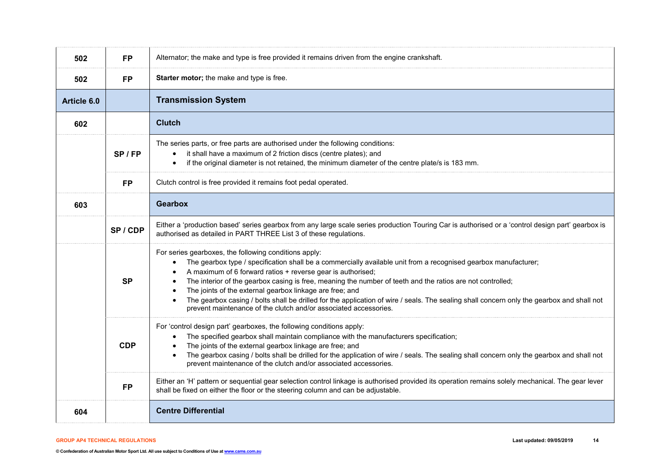| 502         | <b>FP</b>  | Alternator; the make and type is free provided it remains driven from the engine crankshaft.                                                                                                                                                                                                                                                                                                                                                                                                                                                                                                                                                                              |
|-------------|------------|---------------------------------------------------------------------------------------------------------------------------------------------------------------------------------------------------------------------------------------------------------------------------------------------------------------------------------------------------------------------------------------------------------------------------------------------------------------------------------------------------------------------------------------------------------------------------------------------------------------------------------------------------------------------------|
| 502         | <b>FP</b>  | Starter motor; the make and type is free.                                                                                                                                                                                                                                                                                                                                                                                                                                                                                                                                                                                                                                 |
| Article 6.0 |            | <b>Transmission System</b>                                                                                                                                                                                                                                                                                                                                                                                                                                                                                                                                                                                                                                                |
| 602         |            | <b>Clutch</b>                                                                                                                                                                                                                                                                                                                                                                                                                                                                                                                                                                                                                                                             |
|             | SP/FP      | The series parts, or free parts are authorised under the following conditions:<br>it shall have a maximum of 2 friction discs (centre plates); and<br>if the original diameter is not retained, the minimum diameter of the centre plate/s is 183 mm.                                                                                                                                                                                                                                                                                                                                                                                                                     |
|             | <b>FP</b>  | Clutch control is free provided it remains foot pedal operated.                                                                                                                                                                                                                                                                                                                                                                                                                                                                                                                                                                                                           |
| 603         |            | Gearbox                                                                                                                                                                                                                                                                                                                                                                                                                                                                                                                                                                                                                                                                   |
|             | SP/CDP     | Either a 'production based' series gearbox from any large scale series production Touring Car is authorised or a 'control design part' gearbox is<br>authorised as detailed in PART THREE List 3 of these regulations.                                                                                                                                                                                                                                                                                                                                                                                                                                                    |
|             | <b>SP</b>  | For series gearboxes, the following conditions apply:<br>The gearbox type / specification shall be a commercially available unit from a recognised gearbox manufacturer;<br>A maximum of 6 forward ratios + reverse gear is authorised;<br>$\bullet$<br>The interior of the gearbox casing is free, meaning the number of teeth and the ratios are not controlled;<br>$\bullet$<br>The joints of the external gearbox linkage are free; and<br>The gearbox casing / bolts shall be drilled for the application of wire / seals. The sealing shall concern only the gearbox and shall not<br>$\bullet$<br>prevent maintenance of the clutch and/or associated accessories. |
|             | <b>CDP</b> | For 'control design part' gearboxes, the following conditions apply:<br>The specified gearbox shall maintain compliance with the manufacturers specification;<br>$\bullet$<br>The joints of the external gearbox linkage are free; and<br>The gearbox casing / bolts shall be drilled for the application of wire / seals. The sealing shall concern only the gearbox and shall not<br>prevent maintenance of the clutch and/or associated accessories.                                                                                                                                                                                                                   |
|             | <b>FP</b>  | Either an 'H' pattern or sequential gear selection control linkage is authorised provided its operation remains solely mechanical. The gear lever<br>shall be fixed on either the floor or the steering column and can be adjustable.                                                                                                                                                                                                                                                                                                                                                                                                                                     |
| 604         |            | <b>Centre Differential</b>                                                                                                                                                                                                                                                                                                                                                                                                                                                                                                                                                                                                                                                |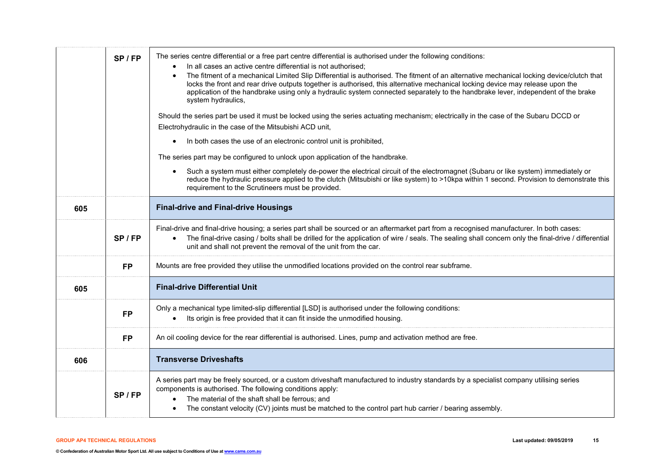|     | $SP$ / FP | The series centre differential or a free part centre differential is authorised under the following conditions:<br>In all cases an active centre differential is not authorised;<br>The fitment of a mechanical Limited Slip Differential is authorised. The fitment of an alternative mechanical locking device/clutch that<br>$\bullet$<br>locks the front and rear drive outputs together is authorised, this alternative mechanical locking device may release upon the<br>application of the handbrake using only a hydraulic system connected separately to the handbrake lever, independent of the brake<br>system hydraulics,<br>Should the series part be used it must be locked using the series actuating mechanism; electrically in the case of the Subaru DCCD or<br>Electrohydraulic in the case of the Mitsubishi ACD unit,<br>In both cases the use of an electronic control unit is prohibited,<br>The series part may be configured to unlock upon application of the handbrake.<br>Such a system must either completely de-power the electrical circuit of the electromagnet (Subaru or like system) immediately or<br>reduce the hydraulic pressure applied to the clutch (Mitsubishi or like system) to >10kpa within 1 second. Provision to demonstrate this<br>requirement to the Scrutineers must be provided. |
|-----|-----------|----------------------------------------------------------------------------------------------------------------------------------------------------------------------------------------------------------------------------------------------------------------------------------------------------------------------------------------------------------------------------------------------------------------------------------------------------------------------------------------------------------------------------------------------------------------------------------------------------------------------------------------------------------------------------------------------------------------------------------------------------------------------------------------------------------------------------------------------------------------------------------------------------------------------------------------------------------------------------------------------------------------------------------------------------------------------------------------------------------------------------------------------------------------------------------------------------------------------------------------------------------------------------------------------------------------------------------------|
| 605 |           | <b>Final-drive and Final-drive Housings</b>                                                                                                                                                                                                                                                                                                                                                                                                                                                                                                                                                                                                                                                                                                                                                                                                                                                                                                                                                                                                                                                                                                                                                                                                                                                                                            |
|     | $SP$ / FP | Final-drive and final-drive housing; a series part shall be sourced or an aftermarket part from a recognised manufacturer. In both cases:<br>The final-drive casing / bolts shall be drilled for the application of wire / seals. The sealing shall concern only the final-drive / differential<br>$\bullet$<br>unit and shall not prevent the removal of the unit from the car.                                                                                                                                                                                                                                                                                                                                                                                                                                                                                                                                                                                                                                                                                                                                                                                                                                                                                                                                                       |
|     | <b>FP</b> | Mounts are free provided they utilise the unmodified locations provided on the control rear subframe.                                                                                                                                                                                                                                                                                                                                                                                                                                                                                                                                                                                                                                                                                                                                                                                                                                                                                                                                                                                                                                                                                                                                                                                                                                  |
| 605 |           | <b>Final-drive Differential Unit</b>                                                                                                                                                                                                                                                                                                                                                                                                                                                                                                                                                                                                                                                                                                                                                                                                                                                                                                                                                                                                                                                                                                                                                                                                                                                                                                   |
|     | <b>FP</b> | Only a mechanical type limited-slip differential [LSD] is authorised under the following conditions:<br>Its origin is free provided that it can fit inside the unmodified housing.                                                                                                                                                                                                                                                                                                                                                                                                                                                                                                                                                                                                                                                                                                                                                                                                                                                                                                                                                                                                                                                                                                                                                     |
|     | <b>FP</b> | An oil cooling device for the rear differential is authorised. Lines, pump and activation method are free.                                                                                                                                                                                                                                                                                                                                                                                                                                                                                                                                                                                                                                                                                                                                                                                                                                                                                                                                                                                                                                                                                                                                                                                                                             |
| 606 |           | <b>Transverse Driveshafts</b>                                                                                                                                                                                                                                                                                                                                                                                                                                                                                                                                                                                                                                                                                                                                                                                                                                                                                                                                                                                                                                                                                                                                                                                                                                                                                                          |
|     | $SP$ / FP | A series part may be freely sourced, or a custom driveshaft manufactured to industry standards by a specialist company utilising series<br>components is authorised. The following conditions apply:<br>The material of the shaft shall be ferrous; and<br>The constant velocity (CV) joints must be matched to the control part hub carrier / bearing assembly.                                                                                                                                                                                                                                                                                                                                                                                                                                                                                                                                                                                                                                                                                                                                                                                                                                                                                                                                                                       |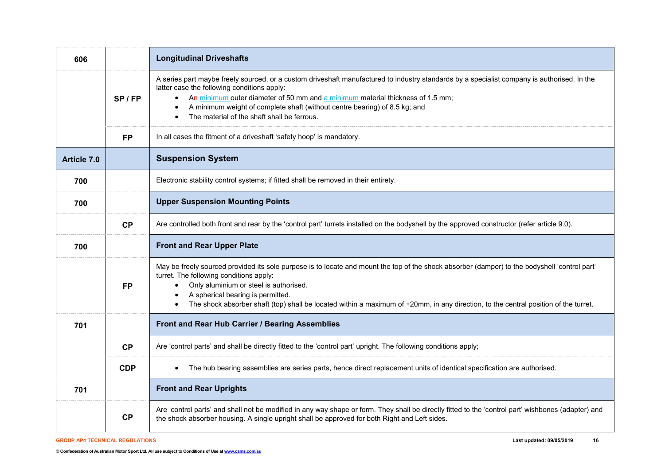| 606         |            | <b>Longitudinal Driveshafts</b>                                                                                                                                                                                                                                                                                                                                                                                             |
|-------------|------------|-----------------------------------------------------------------------------------------------------------------------------------------------------------------------------------------------------------------------------------------------------------------------------------------------------------------------------------------------------------------------------------------------------------------------------|
|             | SP / FP    | A series part maybe freely sourced, or a custom driveshaft manufactured to industry standards by a specialist company is authorised. In the<br>latter case the following conditions apply:<br>• An minimum outer diameter of 50 mm and a minimum material thickness of 1.5 mm;<br>A minimum weight of complete shaft (without centre bearing) of 8.5 kg; and<br>The material of the shaft shall be ferrous.                 |
|             | <b>FP</b>  | In all cases the fitment of a driveshaft 'safety hoop' is mandatory.                                                                                                                                                                                                                                                                                                                                                        |
| Article 7.0 |            | <b>Suspension System</b>                                                                                                                                                                                                                                                                                                                                                                                                    |
| 700         |            | Electronic stability control systems; if fitted shall be removed in their entirety.                                                                                                                                                                                                                                                                                                                                         |
| 700         |            | <b>Upper Suspension Mounting Points</b>                                                                                                                                                                                                                                                                                                                                                                                     |
|             | CP         | Are controlled both front and rear by the 'control part' turrets installed on the bodyshell by the approved constructor (refer article 9.0).                                                                                                                                                                                                                                                                                |
| 700         |            | <b>Front and Rear Upper Plate</b>                                                                                                                                                                                                                                                                                                                                                                                           |
|             | <b>FP</b>  | May be freely sourced provided its sole purpose is to locate and mount the top of the shock absorber (damper) to the bodyshell 'control part'<br>turret. The following conditions apply:<br>Only aluminium or steel is authorised.<br>$\bullet$<br>A spherical bearing is permitted.<br>The shock absorber shaft (top) shall be located within a maximum of +20mm, in any direction, to the central position of the turret. |
| 701         |            | Front and Rear Hub Carrier / Bearing Assemblies                                                                                                                                                                                                                                                                                                                                                                             |
|             | CP         | Are 'control parts' and shall be directly fitted to the 'control part' upright. The following conditions apply;                                                                                                                                                                                                                                                                                                             |
|             | <b>CDP</b> | The hub bearing assemblies are series parts, hence direct replacement units of identical specification are authorised.                                                                                                                                                                                                                                                                                                      |
| 701         |            | <b>Front and Rear Uprights</b>                                                                                                                                                                                                                                                                                                                                                                                              |
|             | CP         | Are 'control parts' and shall not be modified in any way shape or form. They shall be directly fitted to the 'control part' wishbones (adapter) and<br>the shock absorber housing. A single upright shall be approved for both Right and Left sides.                                                                                                                                                                        |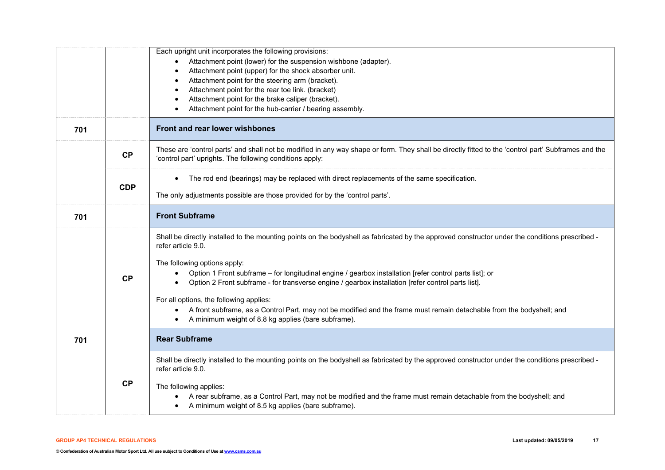|     |            | Each upright unit incorporates the following provisions:<br>Attachment point (lower) for the suspension wishbone (adapter).<br>Attachment point (upper) for the shock absorber unit.<br>Attachment point for the steering arm (bracket).<br>Attachment point for the rear toe link. (bracket)<br>Attachment point for the brake caliper (bracket).                                                                             |
|-----|------------|--------------------------------------------------------------------------------------------------------------------------------------------------------------------------------------------------------------------------------------------------------------------------------------------------------------------------------------------------------------------------------------------------------------------------------|
| 701 |            | Attachment point for the hub-carrier / bearing assembly.<br>Front and rear lower wishbones                                                                                                                                                                                                                                                                                                                                     |
|     |            |                                                                                                                                                                                                                                                                                                                                                                                                                                |
|     | CP         | These are 'control parts' and shall not be modified in any way shape or form. They shall be directly fitted to the 'control part' Subframes and the<br>'control part' uprights. The following conditions apply:                                                                                                                                                                                                                |
|     | <b>CDP</b> | The rod end (bearings) may be replaced with direct replacements of the same specification.                                                                                                                                                                                                                                                                                                                                     |
|     |            | The only adjustments possible are those provided for by the 'control parts'.                                                                                                                                                                                                                                                                                                                                                   |
| 701 |            | <b>Front Subframe</b>                                                                                                                                                                                                                                                                                                                                                                                                          |
|     |            | Shall be directly installed to the mounting points on the bodyshell as fabricated by the approved constructor under the conditions prescribed -<br>refer article 9.0.                                                                                                                                                                                                                                                          |
|     | CP         | The following options apply:<br>Option 1 Front subframe - for longitudinal engine / gearbox installation [refer control parts list]; or<br>Option 2 Front subframe - for transverse engine / gearbox installation [refer control parts list].<br>For all options, the following applies:<br>A front subframe, as a Control Part, may not be modified and the frame must remain detachable from the bodyshell; and<br>$\bullet$ |
|     |            | A minimum weight of 8.8 kg applies (bare subframe).                                                                                                                                                                                                                                                                                                                                                                            |
| 701 |            | <b>Rear Subframe</b>                                                                                                                                                                                                                                                                                                                                                                                                           |
|     |            | Shall be directly installed to the mounting points on the bodyshell as fabricated by the approved constructor under the conditions prescribed -<br>refer article 9.0.                                                                                                                                                                                                                                                          |
|     | CP         | The following applies:<br>A rear subframe, as a Control Part, may not be modified and the frame must remain detachable from the bodyshell; and<br>A minimum weight of 8.5 kg applies (bare subframe).                                                                                                                                                                                                                          |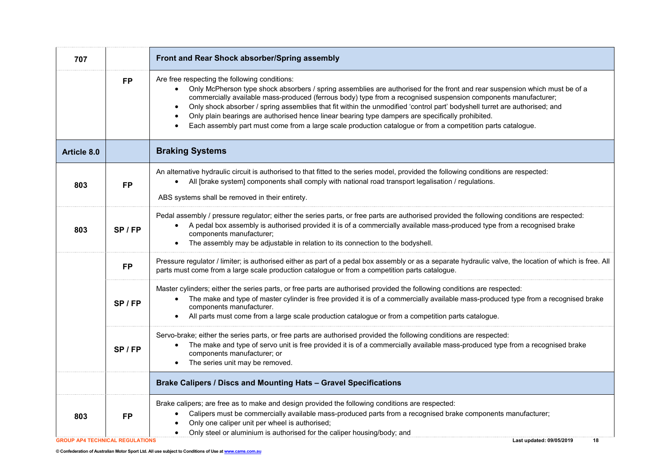| 707                                    |           | Front and Rear Shock absorber/Spring assembly                                                                                                                                                                                                                                                                                                                                                                                                                                                                                                                                                                                                    |
|----------------------------------------|-----------|--------------------------------------------------------------------------------------------------------------------------------------------------------------------------------------------------------------------------------------------------------------------------------------------------------------------------------------------------------------------------------------------------------------------------------------------------------------------------------------------------------------------------------------------------------------------------------------------------------------------------------------------------|
|                                        | <b>FP</b> | Are free respecting the following conditions:<br>Only McPherson type shock absorbers / spring assemblies are authorised for the front and rear suspension which must be of a<br>commercially available mass-produced (ferrous body) type from a recognised suspension components manufacturer;<br>Only shock absorber / spring assemblies that fit within the unmodified 'control part' bodyshell turret are authorised; and<br>Only plain bearings are authorised hence linear bearing type dampers are specifically prohibited.<br>Each assembly part must come from a large scale production catalogue or from a competition parts catalogue. |
| Article 8.0                            |           | <b>Braking Systems</b>                                                                                                                                                                                                                                                                                                                                                                                                                                                                                                                                                                                                                           |
| 803                                    | <b>FP</b> | An alternative hydraulic circuit is authorised to that fitted to the series model, provided the following conditions are respected:<br>All [brake system] components shall comply with national road transport legalisation / regulations.<br>ABS systems shall be removed in their entirety.                                                                                                                                                                                                                                                                                                                                                    |
| 803                                    | SP/FP     | Pedal assembly / pressure regulator; either the series parts, or free parts are authorised provided the following conditions are respected:<br>A pedal box assembly is authorised provided it is of a commercially available mass-produced type from a recognised brake<br>$\bullet$<br>components manufacturer;<br>The assembly may be adjustable in relation to its connection to the bodyshell.                                                                                                                                                                                                                                               |
|                                        | <b>FP</b> | Pressure regulator / limiter; is authorised either as part of a pedal box assembly or as a separate hydraulic valve, the location of which is free. All<br>parts must come from a large scale production catalogue or from a competition parts catalogue.                                                                                                                                                                                                                                                                                                                                                                                        |
|                                        | SP/FP     | Master cylinders; either the series parts, or free parts are authorised provided the following conditions are respected:<br>The make and type of master cylinder is free provided it is of a commercially available mass-produced type from a recognised brake<br>components manufacturer.<br>All parts must come from a large scale production catalogue or from a competition parts catalogue.                                                                                                                                                                                                                                                 |
|                                        | $SP$ / FP | Servo-brake; either the series parts, or free parts are authorised provided the following conditions are respected:<br>The make and type of servo unit is free provided it is of a commercially available mass-produced type from a recognised brake<br>components manufacturer; or<br>The series unit may be removed.                                                                                                                                                                                                                                                                                                                           |
|                                        |           | Brake Calipers / Discs and Mounting Hats - Gravel Specifications                                                                                                                                                                                                                                                                                                                                                                                                                                                                                                                                                                                 |
| 803                                    | <b>FP</b> | Brake calipers; are free as to make and design provided the following conditions are respected:<br>Calipers must be commercially available mass-produced parts from a recognised brake components manufacturer;<br>Only one caliper unit per wheel is authorised;<br>Only steel or aluminium is authorised for the caliper housing/body; and                                                                                                                                                                                                                                                                                                     |
| <b>GROUP AP4 TECHNICAL REGULATIONS</b> |           | Last updated: 09/05/2019<br>18                                                                                                                                                                                                                                                                                                                                                                                                                                                                                                                                                                                                                   |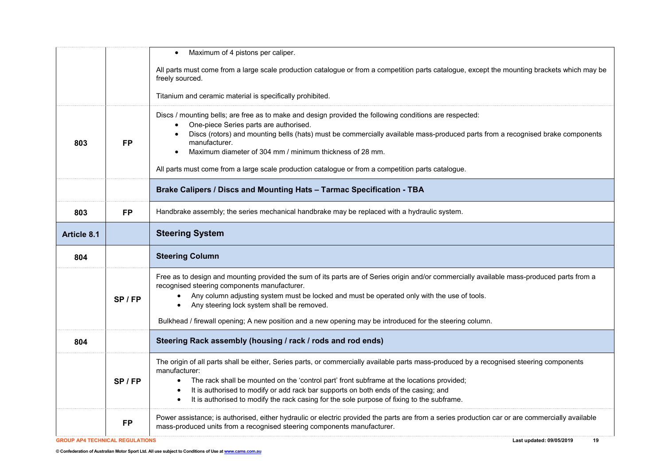|                                        |           | Maximum of 4 pistons per caliper.                                                                                                                                                                                                                                                                                                                                                                                                                                      |
|----------------------------------------|-----------|------------------------------------------------------------------------------------------------------------------------------------------------------------------------------------------------------------------------------------------------------------------------------------------------------------------------------------------------------------------------------------------------------------------------------------------------------------------------|
|                                        |           | All parts must come from a large scale production catalogue or from a competition parts catalogue, except the mounting brackets which may be<br>freely sourced.                                                                                                                                                                                                                                                                                                        |
|                                        |           | Titanium and ceramic material is specifically prohibited.                                                                                                                                                                                                                                                                                                                                                                                                              |
| 803                                    | FP        | Discs / mounting bells; are free as to make and design provided the following conditions are respected:<br>One-piece Series parts are authorised.<br>Discs (rotors) and mounting bells (hats) must be commercially available mass-produced parts from a recognised brake components<br>manufacturer.<br>Maximum diameter of 304 mm / minimum thickness of 28 mm.<br>All parts must come from a large scale production catalogue or from a competition parts catalogue. |
|                                        |           | Brake Calipers / Discs and Mounting Hats - Tarmac Specification - TBA                                                                                                                                                                                                                                                                                                                                                                                                  |
| 803                                    | <b>FP</b> | Handbrake assembly; the series mechanical handbrake may be replaced with a hydraulic system.                                                                                                                                                                                                                                                                                                                                                                           |
| <b>Article 8.1</b>                     |           | <b>Steering System</b>                                                                                                                                                                                                                                                                                                                                                                                                                                                 |
|                                        |           |                                                                                                                                                                                                                                                                                                                                                                                                                                                                        |
| 804                                    |           | <b>Steering Column</b>                                                                                                                                                                                                                                                                                                                                                                                                                                                 |
|                                        | $SP$ / FP | Free as to design and mounting provided the sum of its parts are of Series origin and/or commercially available mass-produced parts from a<br>recognised steering components manufacturer.<br>Any column adjusting system must be locked and must be operated only with the use of tools.<br>Any steering lock system shall be removed.                                                                                                                                |
|                                        |           | Bulkhead / firewall opening; A new position and a new opening may be introduced for the steering column.                                                                                                                                                                                                                                                                                                                                                               |
| 804                                    |           | Steering Rack assembly (housing / rack / rods and rod ends)                                                                                                                                                                                                                                                                                                                                                                                                            |
|                                        | SP/FP     | The origin of all parts shall be either, Series parts, or commercially available parts mass-produced by a recognised steering components<br>manufacturer:<br>The rack shall be mounted on the 'control part' front subframe at the locations provided;<br>$\bullet$<br>It is authorised to modify or add rack bar supports on both ends of the casing; and<br>It is authorised to modify the rack casing for the sole purpose of fixing to the subframe.<br>$\bullet$  |
| <b>GROUP AP4 TECHNICAL REGULATIONS</b> | <b>FP</b> | Power assistance; is authorised, either hydraulic or electric provided the parts are from a series production car or are commercially available<br>mass-produced units from a recognised steering components manufacturer.<br>Last updated: 09/05/2019<br>19                                                                                                                                                                                                           |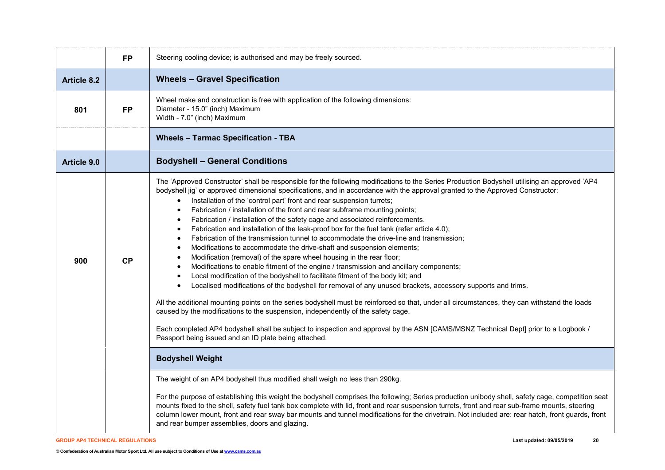|                    | <b>FP</b> | Steering cooling device; is authorised and may be freely sourced.                                                                                                                                                                                                                                                                                                                                                                                                                                                                                                                                                                                                                                                                                                                                                                                                                                                                                                                                                                                                                                                                                                                                                                                                                                                                                                                                                                                                                                                                                                                                                                                              |
|--------------------|-----------|----------------------------------------------------------------------------------------------------------------------------------------------------------------------------------------------------------------------------------------------------------------------------------------------------------------------------------------------------------------------------------------------------------------------------------------------------------------------------------------------------------------------------------------------------------------------------------------------------------------------------------------------------------------------------------------------------------------------------------------------------------------------------------------------------------------------------------------------------------------------------------------------------------------------------------------------------------------------------------------------------------------------------------------------------------------------------------------------------------------------------------------------------------------------------------------------------------------------------------------------------------------------------------------------------------------------------------------------------------------------------------------------------------------------------------------------------------------------------------------------------------------------------------------------------------------------------------------------------------------------------------------------------------------|
| <b>Article 8.2</b> |           | <b>Wheels - Gravel Specification</b>                                                                                                                                                                                                                                                                                                                                                                                                                                                                                                                                                                                                                                                                                                                                                                                                                                                                                                                                                                                                                                                                                                                                                                                                                                                                                                                                                                                                                                                                                                                                                                                                                           |
| 801                | <b>FP</b> | Wheel make and construction is free with application of the following dimensions:<br>Diameter - 15.0" (inch) Maximum<br>Width - 7.0" (inch) Maximum                                                                                                                                                                                                                                                                                                                                                                                                                                                                                                                                                                                                                                                                                                                                                                                                                                                                                                                                                                                                                                                                                                                                                                                                                                                                                                                                                                                                                                                                                                            |
|                    |           | <b>Wheels - Tarmac Specification - TBA</b>                                                                                                                                                                                                                                                                                                                                                                                                                                                                                                                                                                                                                                                                                                                                                                                                                                                                                                                                                                                                                                                                                                                                                                                                                                                                                                                                                                                                                                                                                                                                                                                                                     |
| <b>Article 9.0</b> |           | <b>Bodyshell - General Conditions</b>                                                                                                                                                                                                                                                                                                                                                                                                                                                                                                                                                                                                                                                                                                                                                                                                                                                                                                                                                                                                                                                                                                                                                                                                                                                                                                                                                                                                                                                                                                                                                                                                                          |
| 900                | CP        | The 'Approved Constructor' shall be responsible for the following modifications to the Series Production Bodyshell utilising an approved 'AP4<br>bodyshell jig' or approved dimensional specifications, and in accordance with the approval granted to the Approved Constructor:<br>Installation of the 'control part' front and rear suspension turrets;<br>$\bullet$<br>Fabrication / installation of the front and rear subframe mounting points;<br>$\bullet$<br>Fabrication / installation of the safety cage and associated reinforcements.<br>Fabrication and installation of the leak-proof box for the fuel tank (refer article 4.0);<br>$\bullet$<br>Fabrication of the transmission tunnel to accommodate the drive-line and transmission;<br>$\bullet$<br>Modifications to accommodate the drive-shaft and suspension elements;<br>Modification (removal) of the spare wheel housing in the rear floor;<br>Modifications to enable fitment of the engine / transmission and ancillary components;<br>Local modification of the bodyshell to facilitate fitment of the body kit; and<br>Localised modifications of the bodyshell for removal of any unused brackets, accessory supports and trims.<br>$\bullet$<br>All the additional mounting points on the series bodyshell must be reinforced so that, under all circumstances, they can withstand the loads<br>caused by the modifications to the suspension, independently of the safety cage.<br>Each completed AP4 bodyshell shall be subject to inspection and approval by the ASN [CAMS/MSNZ Technical Dept] prior to a Logbook /<br>Passport being issued and an ID plate being attached. |
|                    |           | <b>Bodyshell Weight</b>                                                                                                                                                                                                                                                                                                                                                                                                                                                                                                                                                                                                                                                                                                                                                                                                                                                                                                                                                                                                                                                                                                                                                                                                                                                                                                                                                                                                                                                                                                                                                                                                                                        |
|                    |           | The weight of an AP4 bodyshell thus modified shall weigh no less than 290kg.<br>For the purpose of establishing this weight the bodyshell comprises the following; Series production unibody shell, safety cage, competition seat<br>mounts fixed to the shell, safety fuel tank box complete with lid, front and rear suspension turrets, front and rear sub-frame mounts, steering<br>column lower mount, front and rear sway bar mounts and tunnel modifications for the drivetrain. Not included are: rear hatch, front guards, front<br>and rear bumper assemblies, doors and glazing.                                                                                                                                                                                                                                                                                                                                                                                                                                                                                                                                                                                                                                                                                                                                                                                                                                                                                                                                                                                                                                                                    |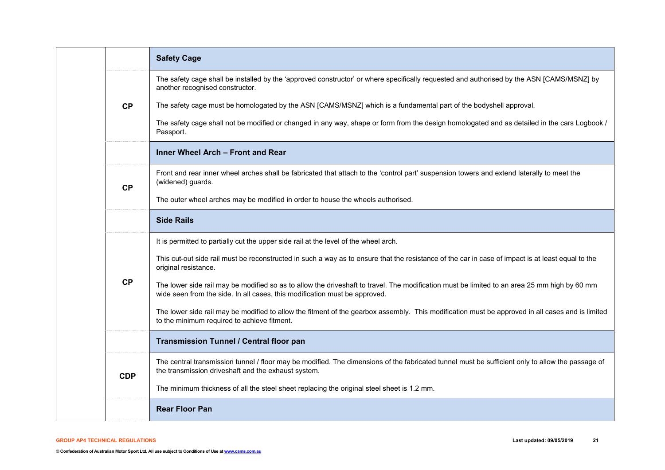|  |            | <b>Safety Cage</b>                                                                                                                                                                                                         |
|--|------------|----------------------------------------------------------------------------------------------------------------------------------------------------------------------------------------------------------------------------|
|  |            | The safety cage shall be installed by the 'approved constructor' or where specifically requested and authorised by the ASN [CAMS/MSNZ] by<br>another recognised constructor.                                               |
|  | CP         | The safety cage must be homologated by the ASN [CAMS/MSNZ] which is a fundamental part of the bodyshell approval.                                                                                                          |
|  |            | The safety cage shall not be modified or changed in any way, shape or form from the design homologated and as detailed in the cars Logbook /<br>Passport.                                                                  |
|  |            | Inner Wheel Arch - Front and Rear                                                                                                                                                                                          |
|  | CP         | Front and rear inner wheel arches shall be fabricated that attach to the 'control part' suspension towers and extend laterally to meet the<br>(widened) guards.                                                            |
|  |            | The outer wheel arches may be modified in order to house the wheels authorised.                                                                                                                                            |
|  |            | <b>Side Rails</b>                                                                                                                                                                                                          |
|  |            | It is permitted to partially cut the upper side rail at the level of the wheel arch.                                                                                                                                       |
|  |            | This cut-out side rail must be reconstructed in such a way as to ensure that the resistance of the car in case of impact is at least equal to the<br>original resistance.                                                  |
|  | <b>CP</b>  | The lower side rail may be modified so as to allow the driveshaft to travel. The modification must be limited to an area 25 mm high by 60 mm<br>wide seen from the side. In all cases, this modification must be approved. |
|  |            | The lower side rail may be modified to allow the fitment of the gearbox assembly. This modification must be approved in all cases and is limited<br>to the minimum required to achieve fitment.                            |
|  |            | Transmission Tunnel / Central floor pan                                                                                                                                                                                    |
|  | <b>CDP</b> | The central transmission tunnel / floor may be modified. The dimensions of the fabricated tunnel must be sufficient only to allow the passage of<br>the transmission driveshaft and the exhaust system.                    |
|  |            | The minimum thickness of all the steel sheet replacing the original steel sheet is 1.2 mm.                                                                                                                                 |
|  |            | <b>Rear Floor Pan</b>                                                                                                                                                                                                      |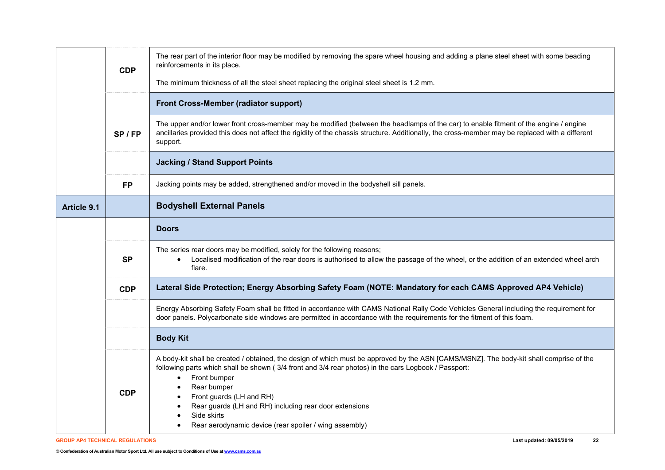|                    | <b>CDP</b> | The rear part of the interior floor may be modified by removing the spare wheel housing and adding a plane steel sheet with some beading<br>reinforcements in its place.                                                                                                                                                                                                                                                                                   |
|--------------------|------------|------------------------------------------------------------------------------------------------------------------------------------------------------------------------------------------------------------------------------------------------------------------------------------------------------------------------------------------------------------------------------------------------------------------------------------------------------------|
|                    |            | The minimum thickness of all the steel sheet replacing the original steel sheet is 1.2 mm.                                                                                                                                                                                                                                                                                                                                                                 |
|                    |            | <b>Front Cross-Member (radiator support)</b>                                                                                                                                                                                                                                                                                                                                                                                                               |
|                    | SP/FP      | The upper and/or lower front cross-member may be modified (between the headlamps of the car) to enable fitment of the engine / engine<br>ancillaries provided this does not affect the rigidity of the chassis structure. Additionally, the cross-member may be replaced with a different<br>support.                                                                                                                                                      |
|                    |            | <b>Jacking / Stand Support Points</b>                                                                                                                                                                                                                                                                                                                                                                                                                      |
|                    | <b>FP</b>  | Jacking points may be added, strengthened and/or moved in the bodyshell sill panels.                                                                                                                                                                                                                                                                                                                                                                       |
| <b>Article 9.1</b> |            | <b>Bodyshell External Panels</b>                                                                                                                                                                                                                                                                                                                                                                                                                           |
|                    |            | <b>Doors</b>                                                                                                                                                                                                                                                                                                                                                                                                                                               |
|                    | <b>SP</b>  | The series rear doors may be modified, solely for the following reasons;<br>Localised modification of the rear doors is authorised to allow the passage of the wheel, or the addition of an extended wheel arch<br>$\bullet$<br>flare.                                                                                                                                                                                                                     |
|                    | <b>CDP</b> | Lateral Side Protection; Energy Absorbing Safety Foam (NOTE: Mandatory for each CAMS Approved AP4 Vehicle)                                                                                                                                                                                                                                                                                                                                                 |
|                    |            | Energy Absorbing Safety Foam shall be fitted in accordance with CAMS National Rally Code Vehicles General including the requirement for<br>door panels. Polycarbonate side windows are permitted in accordance with the requirements for the fitment of this foam.                                                                                                                                                                                         |
|                    |            | <b>Body Kit</b>                                                                                                                                                                                                                                                                                                                                                                                                                                            |
|                    | <b>CDP</b> | A body-kit shall be created / obtained, the design of which must be approved by the ASN [CAMS/MSNZ]. The body-kit shall comprise of the<br>following parts which shall be shown (3/4 front and 3/4 rear photos) in the cars Logbook / Passport:<br>Front bumper<br>$\bullet$<br>Rear bumper<br>Front guards (LH and RH)<br>Rear guards (LH and RH) including rear door extensions<br>Side skirts<br>Rear aerodynamic device (rear spoiler / wing assembly) |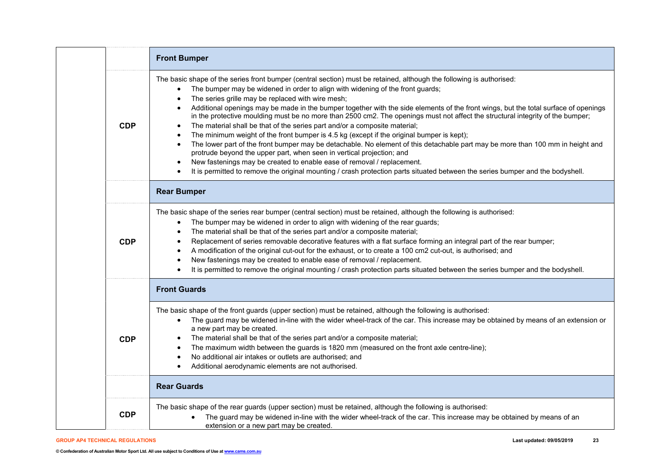|            | <b>Front Bumper</b>                                                                                                                                                                                                                                                                                                                                                                                                                                                                                                                                                                                                                                                                                                                                                                                                                                                                                                                                                                                                                                                                                                                                                                        |
|------------|--------------------------------------------------------------------------------------------------------------------------------------------------------------------------------------------------------------------------------------------------------------------------------------------------------------------------------------------------------------------------------------------------------------------------------------------------------------------------------------------------------------------------------------------------------------------------------------------------------------------------------------------------------------------------------------------------------------------------------------------------------------------------------------------------------------------------------------------------------------------------------------------------------------------------------------------------------------------------------------------------------------------------------------------------------------------------------------------------------------------------------------------------------------------------------------------|
| <b>CDP</b> | The basic shape of the series front bumper (central section) must be retained, although the following is authorised:<br>The bumper may be widened in order to align with widening of the front guards;<br>$\bullet$<br>The series grille may be replaced with wire mesh;<br>Additional openings may be made in the bumper together with the side elements of the front wings, but the total surface of openings<br>$\bullet$<br>in the protective moulding must be no more than 2500 cm2. The openings must not affect the structural integrity of the bumper;<br>The material shall be that of the series part and/or a composite material;<br>$\bullet$<br>The minimum weight of the front bumper is 4.5 kg (except if the original bumper is kept);<br>The lower part of the front bumper may be detachable. No element of this detachable part may be more than 100 mm in height and<br>protrude beyond the upper part, when seen in vertical projection; and<br>New fastenings may be created to enable ease of removal / replacement.<br>$\bullet$<br>It is permitted to remove the original mounting / crash protection parts situated between the series bumper and the bodyshell. |
|            | <b>Rear Bumper</b>                                                                                                                                                                                                                                                                                                                                                                                                                                                                                                                                                                                                                                                                                                                                                                                                                                                                                                                                                                                                                                                                                                                                                                         |
| <b>CDP</b> | The basic shape of the series rear bumper (central section) must be retained, although the following is authorised:<br>The bumper may be widened in order to align with widening of the rear guards;<br>$\bullet$<br>The material shall be that of the series part and/or a composite material;<br>Replacement of series removable decorative features with a flat surface forming an integral part of the rear bumper;<br>A modification of the original cut-out for the exhaust, or to create a 100 cm2 cut-out, is authorised; and<br>$\bullet$<br>New fastenings may be created to enable ease of removal / replacement.<br>$\bullet$<br>It is permitted to remove the original mounting / crash protection parts situated between the series bumper and the bodyshell.                                                                                                                                                                                                                                                                                                                                                                                                                |
|            | <b>Front Guards</b>                                                                                                                                                                                                                                                                                                                                                                                                                                                                                                                                                                                                                                                                                                                                                                                                                                                                                                                                                                                                                                                                                                                                                                        |
| <b>CDP</b> | The basic shape of the front guards (upper section) must be retained, although the following is authorised:<br>The guard may be widened in-line with the wider wheel-track of the car. This increase may be obtained by means of an extension or<br>$\bullet$<br>a new part may be created.<br>The material shall be that of the series part and/or a composite material;<br>$\bullet$<br>The maximum width between the guards is 1820 mm (measured on the front axle centre-line);<br>$\bullet$<br>No additional air intakes or outlets are authorised; and<br>Additional aerodynamic elements are not authorised.                                                                                                                                                                                                                                                                                                                                                                                                                                                                                                                                                                        |
|            | <b>Rear Guards</b>                                                                                                                                                                                                                                                                                                                                                                                                                                                                                                                                                                                                                                                                                                                                                                                                                                                                                                                                                                                                                                                                                                                                                                         |
| <b>CDP</b> | The basic shape of the rear guards (upper section) must be retained, although the following is authorised:<br>The guard may be widened in-line with the wider wheel-track of the car. This increase may be obtained by means of an<br>extension or a new part may be created.                                                                                                                                                                                                                                                                                                                                                                                                                                                                                                                                                                                                                                                                                                                                                                                                                                                                                                              |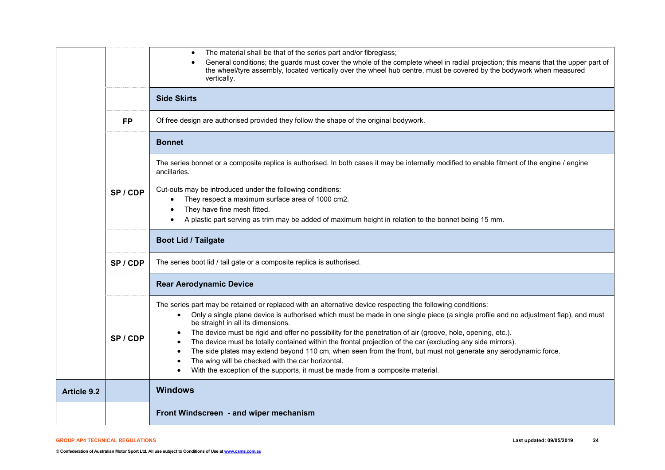|                    |           | The material shall be that of the series part and/or fibreglass;<br>$\bullet$<br>General conditions; the guards must cover the whole of the complete wheel in radial projection; this means that the upper part of<br>the wheel/tyre assembly, located vertically over the wheel hub centre, must be covered by the bodywork when measured<br>vertically.                                                                                                                                                                                                                                                                                                                                                                                                                                      |
|--------------------|-----------|------------------------------------------------------------------------------------------------------------------------------------------------------------------------------------------------------------------------------------------------------------------------------------------------------------------------------------------------------------------------------------------------------------------------------------------------------------------------------------------------------------------------------------------------------------------------------------------------------------------------------------------------------------------------------------------------------------------------------------------------------------------------------------------------|
|                    |           | <b>Side Skirts</b>                                                                                                                                                                                                                                                                                                                                                                                                                                                                                                                                                                                                                                                                                                                                                                             |
|                    | <b>FP</b> | Of free design are authorised provided they follow the shape of the original bodywork.                                                                                                                                                                                                                                                                                                                                                                                                                                                                                                                                                                                                                                                                                                         |
|                    |           | <b>Bonnet</b>                                                                                                                                                                                                                                                                                                                                                                                                                                                                                                                                                                                                                                                                                                                                                                                  |
|                    |           | The series bonnet or a composite replica is authorised. In both cases it may be internally modified to enable fitment of the engine / engine<br>ancillaries.                                                                                                                                                                                                                                                                                                                                                                                                                                                                                                                                                                                                                                   |
|                    | SP/CDP    | Cut-outs may be introduced under the following conditions:<br>They respect a maximum surface area of 1000 cm2.<br>٠<br>They have fine mesh fitted.<br>$\bullet$<br>A plastic part serving as trim may be added of maximum height in relation to the bonnet being 15 mm.                                                                                                                                                                                                                                                                                                                                                                                                                                                                                                                        |
|                    |           | <b>Boot Lid / Tailgate</b>                                                                                                                                                                                                                                                                                                                                                                                                                                                                                                                                                                                                                                                                                                                                                                     |
|                    | SP/CDP    | The series boot lid / tail gate or a composite replica is authorised.                                                                                                                                                                                                                                                                                                                                                                                                                                                                                                                                                                                                                                                                                                                          |
|                    |           | <b>Rear Aerodynamic Device</b>                                                                                                                                                                                                                                                                                                                                                                                                                                                                                                                                                                                                                                                                                                                                                                 |
|                    | SP/CDP    | The series part may be retained or replaced with an alternative device respecting the following conditions:<br>Only a single plane device is authorised which must be made in one single piece (a single profile and no adjustment flap), and must<br>$\bullet$<br>be straight in all its dimensions.<br>The device must be rigid and offer no possibility for the penetration of air (groove, hole, opening, etc.).<br>The device must be totally contained within the frontal projection of the car (excluding any side mirrors).<br>The side plates may extend beyond 110 cm, when seen from the front, but must not generate any aerodynamic force.<br>The wing will be checked with the car horizontal.<br>With the exception of the supports, it must be made from a composite material. |
| <b>Article 9.2</b> |           | <b>Windows</b>                                                                                                                                                                                                                                                                                                                                                                                                                                                                                                                                                                                                                                                                                                                                                                                 |
|                    |           | Front Windscreen - and wiper mechanism                                                                                                                                                                                                                                                                                                                                                                                                                                                                                                                                                                                                                                                                                                                                                         |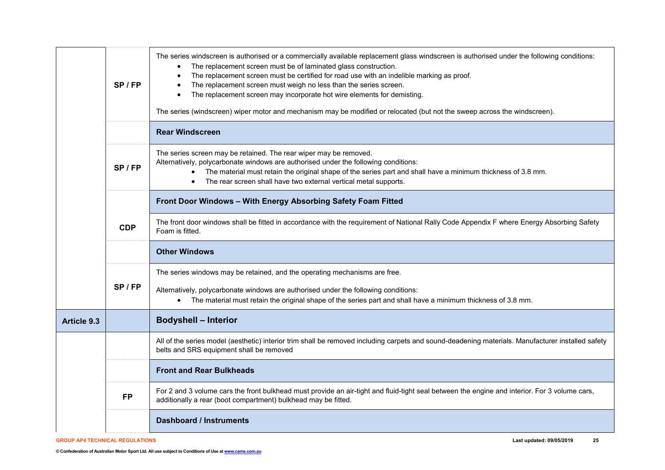|                    | $SP$ / FP  | The series windscreen is authorised or a commercially available replacement glass windscreen is authorised under the following conditions:<br>The replacement screen must be of laminated glass construction.<br>The replacement screen must be certified for road use with an indelible marking as proof.<br>The replacement screen must weigh no less than the series screen.<br>The replacement screen may incorporate hot wire elements for demisting.<br>The series (windscreen) wiper motor and mechanism may be modified or relocated (but not the sweep across the windscreen). |
|--------------------|------------|-----------------------------------------------------------------------------------------------------------------------------------------------------------------------------------------------------------------------------------------------------------------------------------------------------------------------------------------------------------------------------------------------------------------------------------------------------------------------------------------------------------------------------------------------------------------------------------------|
|                    |            | <b>Rear Windscreen</b>                                                                                                                                                                                                                                                                                                                                                                                                                                                                                                                                                                  |
|                    | SP/FP      | The series screen may be retained. The rear wiper may be removed.<br>Alternatively, polycarbonate windows are authorised under the following conditions:<br>The material must retain the original shape of the series part and shall have a minimum thickness of 3.8 mm.<br>$\bullet$<br>The rear screen shall have two external vertical metal supports.                                                                                                                                                                                                                               |
|                    |            | Front Door Windows - With Energy Absorbing Safety Foam Fitted                                                                                                                                                                                                                                                                                                                                                                                                                                                                                                                           |
|                    | <b>CDP</b> | The front door windows shall be fitted in accordance with the requirement of National Rally Code Appendix F where Energy Absorbing Safety<br>Foam is fitted.                                                                                                                                                                                                                                                                                                                                                                                                                            |
|                    |            | <b>Other Windows</b>                                                                                                                                                                                                                                                                                                                                                                                                                                                                                                                                                                    |
|                    | SP/FP      | The series windows may be retained, and the operating mechanisms are free.<br>Alternatively, polycarbonate windows are authorised under the following conditions:<br>The material must retain the original shape of the series part and shall have a minimum thickness of 3.8 mm.                                                                                                                                                                                                                                                                                                       |
| <b>Article 9.3</b> |            | <b>Bodyshell - Interior</b>                                                                                                                                                                                                                                                                                                                                                                                                                                                                                                                                                             |
|                    |            | All of the series model (aesthetic) interior trim shall be removed including carpets and sound-deadening materials. Manufacturer installed safety<br>belts and SRS equipment shall be removed                                                                                                                                                                                                                                                                                                                                                                                           |
|                    |            | <b>Front and Rear Bulkheads</b>                                                                                                                                                                                                                                                                                                                                                                                                                                                                                                                                                         |
|                    | <b>FP</b>  | For 2 and 3 volume cars the front bulkhead must provide an air-tight and fluid-tight seal between the engine and interior. For 3 volume cars,<br>additionally a rear (boot compartment) bulkhead may be fitted.                                                                                                                                                                                                                                                                                                                                                                         |
|                    |            | <b>Dashboard / Instruments</b>                                                                                                                                                                                                                                                                                                                                                                                                                                                                                                                                                          |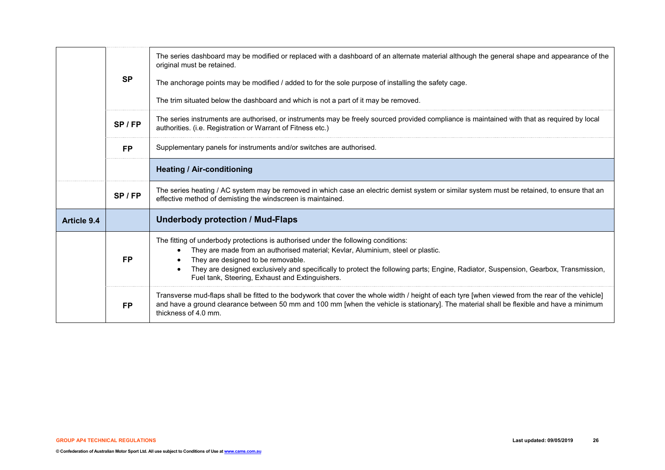|                    | <b>SP</b>                                                            | The series dashboard may be modified or replaced with a dashboard of an alternate material although the general shape and appearance of the<br>original must be retained.<br>The anchorage points may be modified / added to for the sole purpose of installing the safety cage.<br>The trim situated below the dashboard and which is not a part of it may be removed.                               |  |  |  |  |
|--------------------|----------------------------------------------------------------------|-------------------------------------------------------------------------------------------------------------------------------------------------------------------------------------------------------------------------------------------------------------------------------------------------------------------------------------------------------------------------------------------------------|--|--|--|--|
|                    | SP/FP                                                                | The series instruments are authorised, or instruments may be freely sourced provided compliance is maintained with that as required by local<br>authorities. (i.e. Registration or Warrant of Fitness etc.)                                                                                                                                                                                           |  |  |  |  |
|                    | Supplementary panels for instruments and/or switches are authorised. |                                                                                                                                                                                                                                                                                                                                                                                                       |  |  |  |  |
|                    |                                                                      | <b>Heating / Air-conditioning</b>                                                                                                                                                                                                                                                                                                                                                                     |  |  |  |  |
|                    | $SP$ / FP                                                            | The series heating / AC system may be removed in which case an electric demist system or similar system must be retained, to ensure that an<br>effective method of demisting the windscreen is maintained.                                                                                                                                                                                            |  |  |  |  |
| <b>Article 9.4</b> |                                                                      | <b>Underbody protection / Mud-Flaps</b>                                                                                                                                                                                                                                                                                                                                                               |  |  |  |  |
|                    | <b>FP</b>                                                            | The fitting of underbody protections is authorised under the following conditions:<br>They are made from an authorised material; Kevlar, Aluminium, steel or plastic.<br>They are designed to be removable.<br>They are designed exclusively and specifically to protect the following parts; Engine, Radiator, Suspension, Gearbox, Transmission,<br>Fuel tank, Steering, Exhaust and Extinguishers. |  |  |  |  |
|                    | <b>FP</b>                                                            | Transverse mud-flaps shall be fitted to the bodywork that cover the whole width / height of each tyre [when viewed from the rear of the vehicle]<br>and have a ground clearance between 50 mm and 100 mm [when the vehicle is stationary]. The material shall be flexible and have a minimum<br>thickness of 4.0 mm.                                                                                  |  |  |  |  |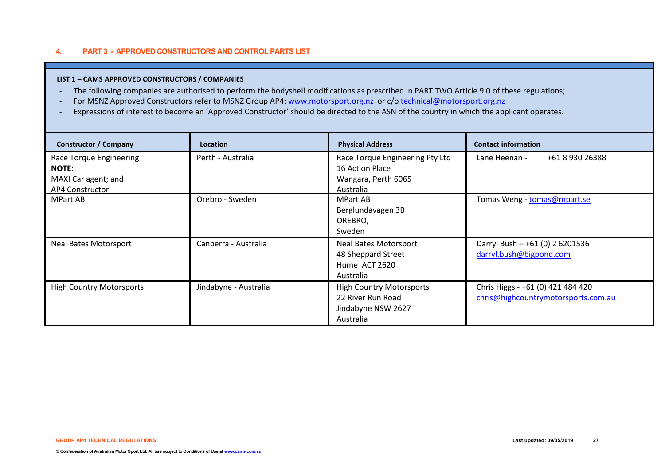# **4. PART 3 - APPROVED CONSTRUCTORS AND CONTROL PARTS LIST**

## **LIST 1 – CAMS APPROVED CONSTRUCTORS / COMPANIES**

- The following companies are authorised to perform the bodyshell modifications as prescribed in PART TWO Article 9.0 of these regulations;
- For MSNZ Approved Constructors refer to MSNZ Group AP4: [www.motorsport.org.nz](http://www.motorsport.org.nz/) or c/[o technical@motorsport.org.nz](mailto:technical@motorsport.org.nz)
- Expressions of interest to become an 'Approved Constructor' should be directed to the ASN of the country in which the applicant operates.

| <b>Constructor / Company</b>                                                             | <b>Location</b>       | <b>Physical Address</b>                                                                       | <b>Contact information</b>                                               |
|------------------------------------------------------------------------------------------|-----------------------|-----------------------------------------------------------------------------------------------|--------------------------------------------------------------------------|
| Race Torque Engineering<br><b>NOTE:</b><br>MAXI Car agent; and<br><b>AP4 Constructor</b> | Perth - Australia     | Race Torque Engineering Pty Ltd<br>16 Action Place<br>Wangara, Perth 6065<br><b>Australia</b> | Lane Heenan -<br>+61 8 930 26388                                         |
| <b>MPart AB</b>                                                                          | Orebro - Sweden       | <b>MPart AB</b><br>Berglundavagen 3B<br>OREBRO,<br>Sweden                                     | Tomas Weng - tomas@mpart.se                                              |
| <b>Neal Bates Motorsport</b>                                                             | Canberra - Australia  | <b>Neal Bates Motorsport</b><br>48 Sheppard Street<br>Hume ACT 2620<br>Australia              | Darryl Bush - +61 (0) 2 6201536<br>darryl.bush@bigpond.com               |
| <b>High Country Motorsports</b>                                                          | Jindabyne - Australia | <b>High Country Motorsports</b><br>22 River Run Road<br>Jindabyne NSW 2627<br>Australia       | Chris Higgs - +61 (0) 421 484 420<br>chris@highcountrymotorsports.com.au |